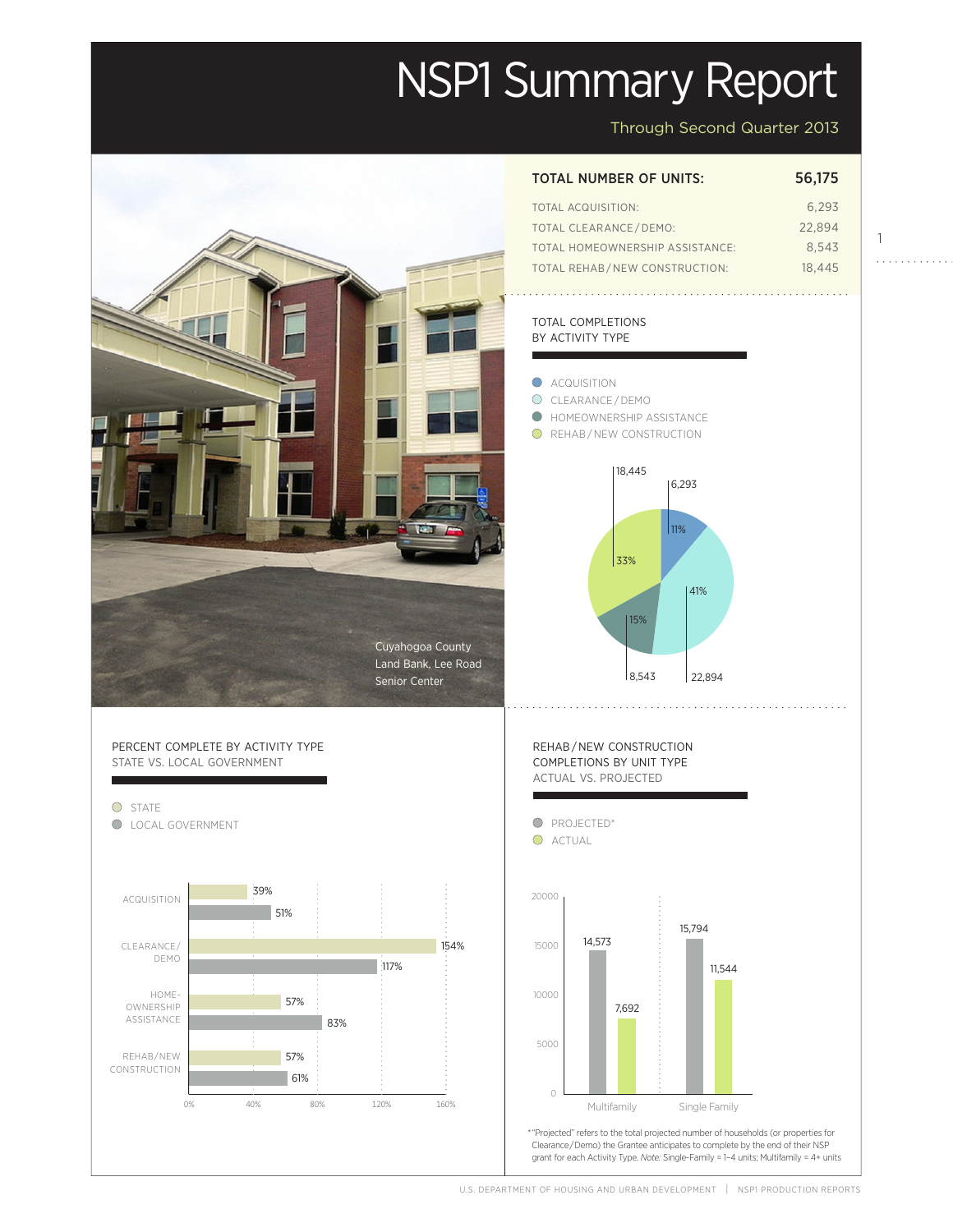# NSP1 Summary Report

Through Second Quarter 2013

1

a a a a a a a a

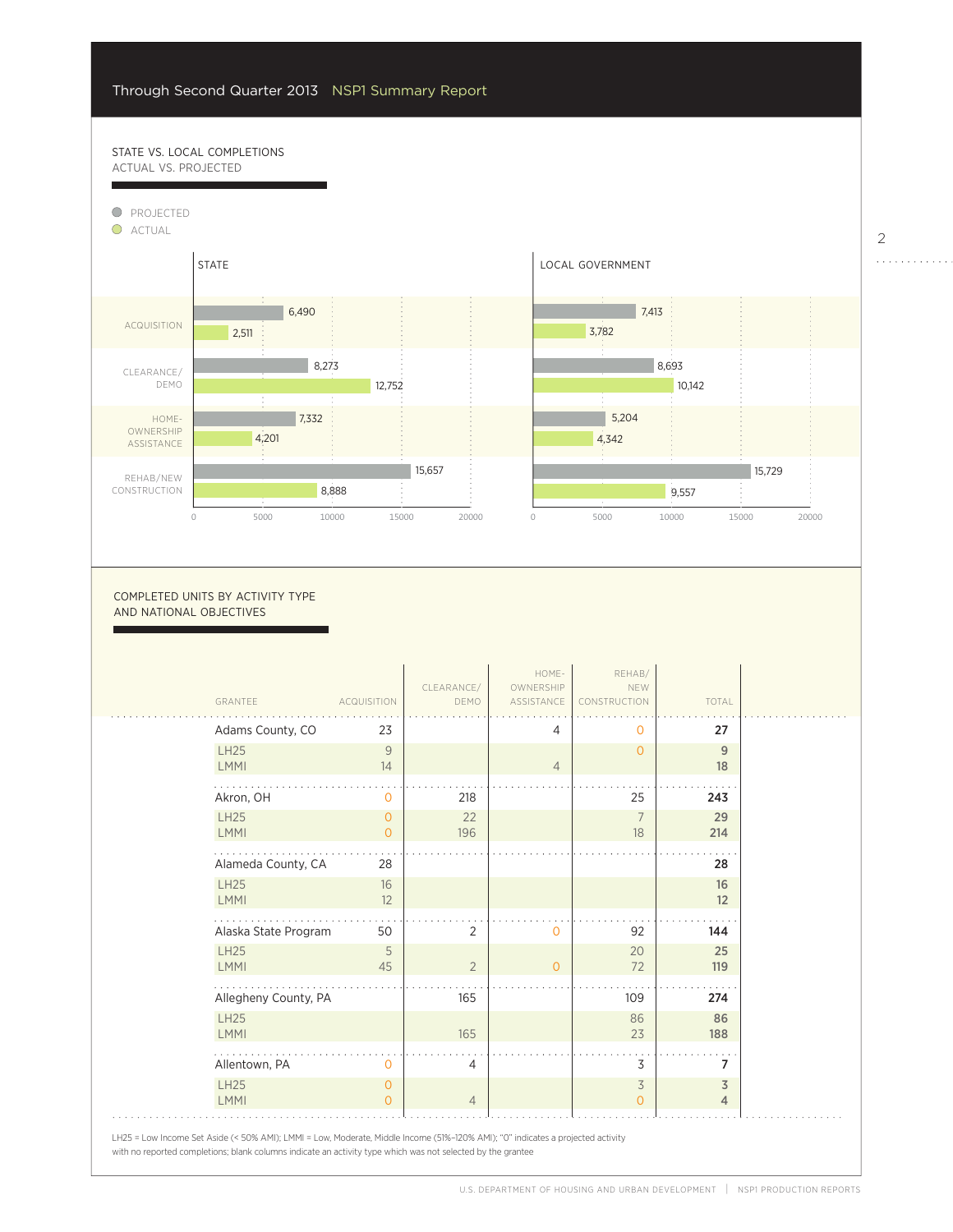57%

# STATE VS. LOCAL COMPLETIONS ACTUAL VS. PROJECTED



0

7,692

COMPLETED UNITS BY ACTIVITY TYPE AND NATIONAL OBJECTIVES

| GRANTEE              | <b>ACQUISITION</b> | CLEARANCE/<br>DEMO | HOME-<br>OWNERSHIP<br>ASSISTANCE | REHAB/<br>NEW<br>CONSTRUCTION | TOTAL          |
|----------------------|--------------------|--------------------|----------------------------------|-------------------------------|----------------|
| Adams County, CO     | 23                 |                    | $\overline{4}$                   | 0                             | 27             |
| <b>LH25</b>          | 9                  |                    |                                  | $\Omega$                      | 9              |
| <b>LMMI</b>          | 14                 |                    | $\overline{4}$                   |                               | 18             |
| Akron, OH            | 0                  | 218                |                                  | 25                            | 243            |
| <b>LH25</b>          | 0                  | 22                 |                                  | 7                             | 29             |
| <b>LMMI</b>          | $\Omega$           | 196                |                                  | 18                            | 214            |
| Alameda County, CA   | 28                 |                    |                                  |                               | 28             |
| <b>LH25</b>          | 16                 |                    |                                  |                               | 16             |
| <b>LMMI</b>          | 12                 |                    |                                  |                               | 12             |
| Alaska State Program | 50                 | 2                  | $\mathbf 0$                      | 92                            | 144            |
| <b>LH25</b>          | 5                  |                    |                                  | 20                            | 25             |
| <b>LMMI</b>          | 45                 | $\overline{2}$     | $\overline{0}$                   | 72                            | 119            |
| Allegheny County, PA |                    | 165                |                                  | 109                           | 274            |
| <b>LH25</b>          |                    |                    |                                  | 86                            | 86             |
| <b>LMMI</b>          |                    | 165                |                                  | 23                            | 188            |
| Allentown, PA        | 0                  | 4                  |                                  | 3                             | 7              |
| <b>LH25</b>          | $\circ$            |                    |                                  | 3                             | $\overline{3}$ |
| <b>LMMI</b>          | $\Omega$           | $\overline{4}$     |                                  | $\Omega$                      | $\overline{4}$ |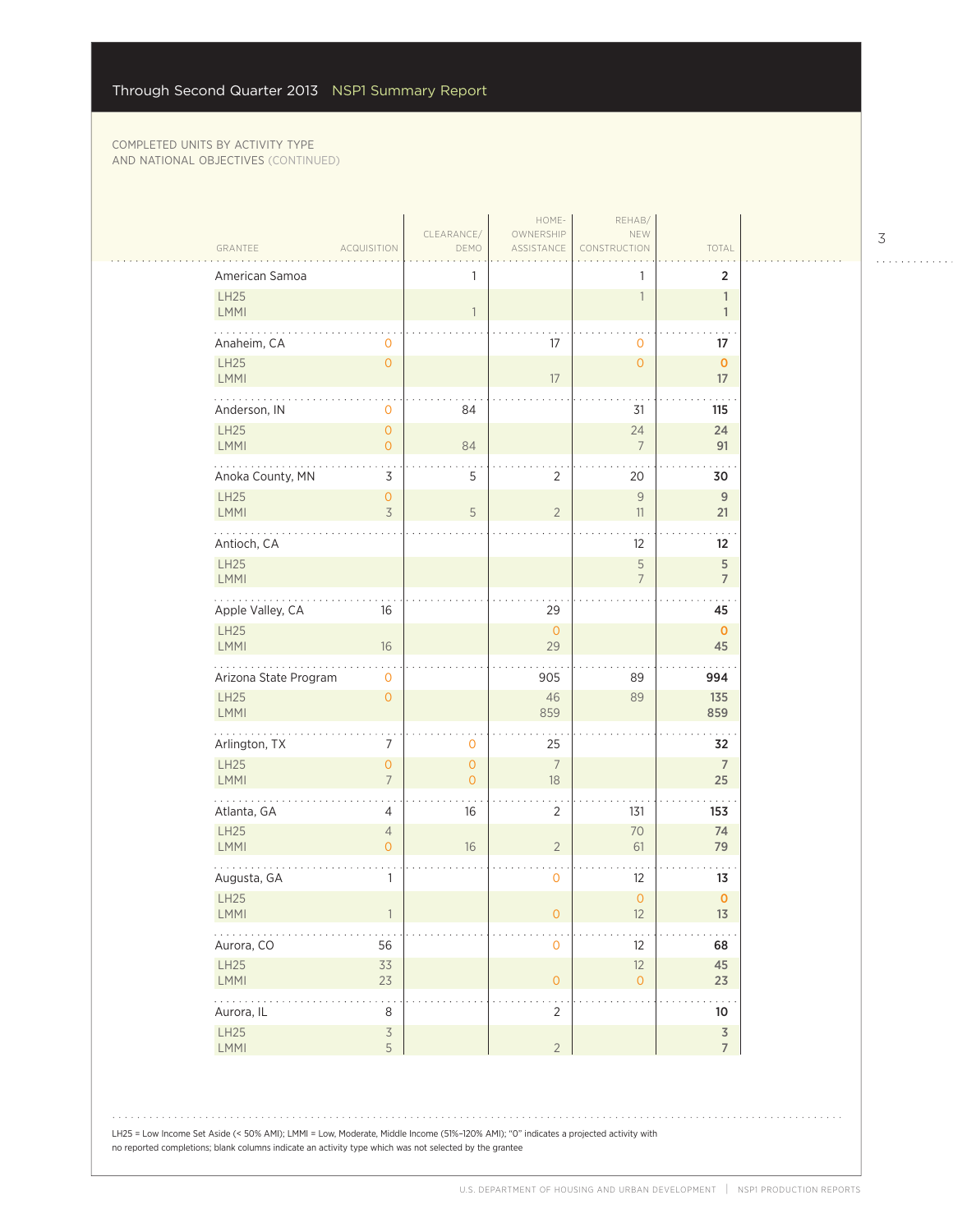$\sim$  .

| American Samoa                                                 |                                  | 1                         |                      | 1                    | $\overline{2}$                            |
|----------------------------------------------------------------|----------------------------------|---------------------------|----------------------|----------------------|-------------------------------------------|
| LH25<br>LMMI                                                   |                                  | $\mathbf{1}$              |                      | 1                    | $\mathbf{1}$<br>$\mathbf{1}$              |
| Anaheim, CA                                                    | 0                                |                           | 17                   | $\circ$              | 17                                        |
| LH25<br>LMMI                                                   | $\mathsf{O}\xspace$              |                           | 17                   | $\circ$              | $\mathbf{O}$<br>$17\,$                    |
| للمتحدث<br>Anderson, IN                                        | $\mathbf 0$                      | 84                        |                      | 31                   | 115                                       |
| <b>LH25</b><br><b>LMMI</b>                                     | $\overline{0}$<br>$\overline{O}$ | 84                        |                      | 24<br>$\overline{7}$ | 24<br>91                                  |
| Anoka County, MN                                               | 3                                | 5                         | $\overline{2}$       | 20                   | 30                                        |
| LH25<br><b>LMMI</b>                                            | $\overline{0}$<br>3              | 5                         | $\sqrt{2}$           | $\mathcal G$<br>11   | $\mathsf{9}$<br>21                        |
| Antioch, CA                                                    |                                  |                           |                      | 12                   | 12                                        |
| LH25<br><b>LMMI</b>                                            |                                  |                           |                      | 5<br>$\overline{7}$  | 5<br>$\overline{7}$                       |
| المالم المالية<br>Apple Valley, CA                             | 16                               |                           | 29                   |                      | 45                                        |
| LH25<br>LMMI                                                   | 16                               |                           | $\mathbf 0$<br>29    |                      | $\mathbf{O}$<br>45                        |
| Arizona State Program                                          | $\mathbf 0$                      |                           | 905                  | 89                   | 994                                       |
| LH25<br>LMMI                                                   | $\overline{0}$                   |                           | 46<br>859            | 89                   | 135<br>859                                |
| .<br>Arlington, TX                                             | 7                                | $\mathbf 0$               | 25                   |                      | 32                                        |
| LH25<br>LMMI                                                   | $\overline{0}$<br>$\overline{7}$ | $\circ$<br>$\overline{0}$ | $\overline{7}$<br>18 |                      | $\overline{7}$<br>25                      |
| Atlanta, GA                                                    | 4                                | 16                        | $\overline{2}$       | 131                  | 153                                       |
| <b>LH25</b><br>LMMI                                            | $\overline{4}$<br>$\overline{O}$ | 16                        | $\sqrt{2}$           | 70<br>61             | 74<br>79                                  |
| Augusta, GA                                                    | 1                                |                           | $\mathsf{O}\xspace$  | 12                   | 13                                        |
| LH25<br><b>LMMI</b>                                            |                                  |                           | 0                    | $\circ$<br>12        | $\pmb{0}$<br>13                           |
| .<br>Aurora, CO                                                | 56                               |                           | $\mathsf O$          | 12                   | 68                                        |
| LH25<br>LMMI                                                   | 33<br>23                         |                           | $\mathsf{O}\xspace$  | 12<br>$\overline{O}$ | 45<br>23                                  |
| $\mathbb{Z}^2$ , $\mathbb{Z}^2$ , $\mathbb{Z}^2$<br>Aurora, IL | 8                                |                           | . .<br>$\sqrt{2}$    |                      | 10                                        |
| LH25<br>LMMI                                                   | $\mathsf 3$<br>5                 |                           | $\overline{2}$       |                      | $\overline{\mathsf{3}}$<br>$\overline{7}$ |

LH25 = Low Income Set Aside (< 50% AMI); LMMI = Low, Moderate, Middle Income (51%–120% AMI); "0" indicates a projected activity with no reported completions; blank columns indicate an activity type which was not selected by the grantee

3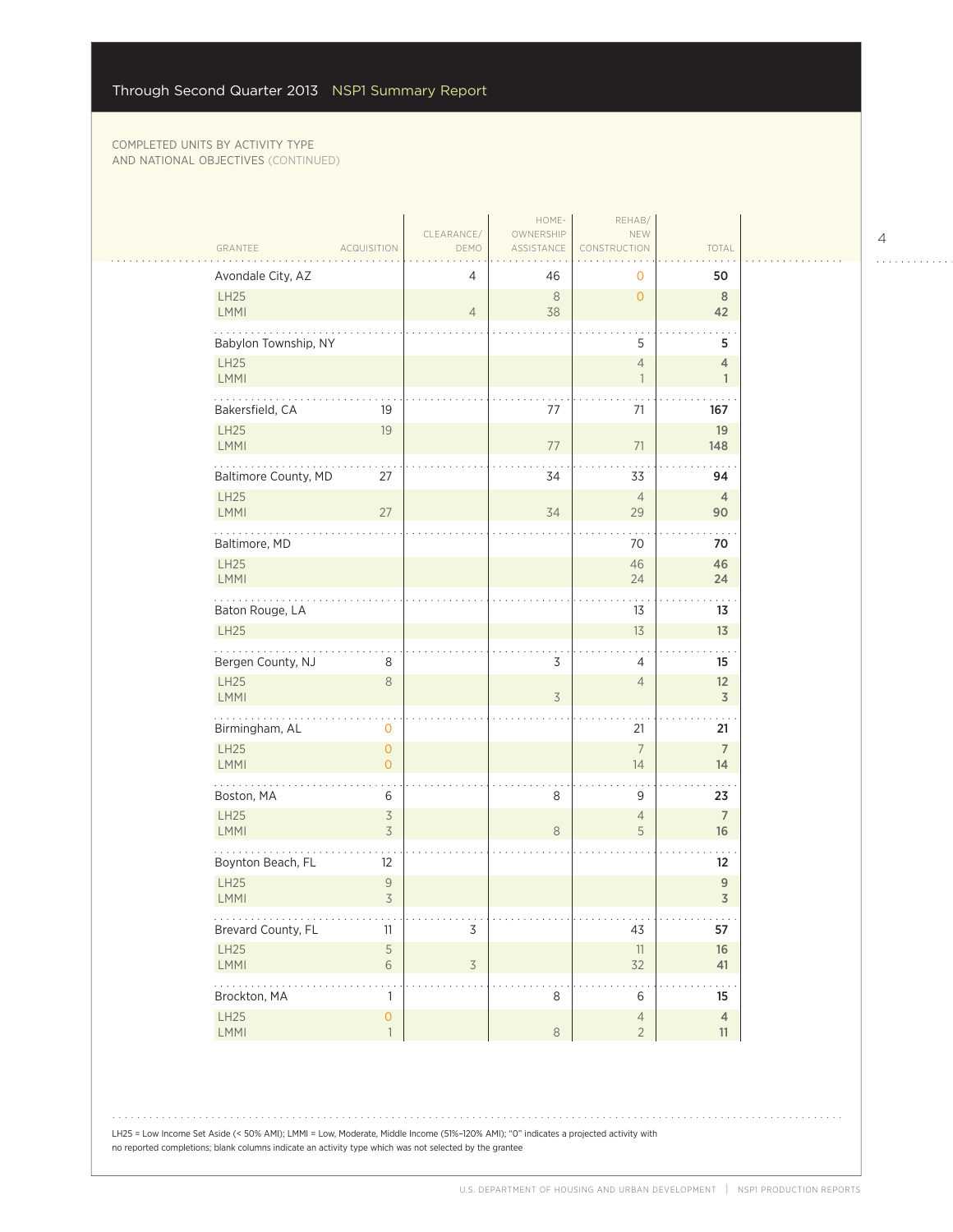| GRANTEE                          | <b>ACQUISITION</b>        | CLEARANCE/<br>DEMO       | HOME-<br>OWNERSHIP<br>ASSISTANCE | REHAB/<br>NEW<br>CONSTRUCTION              | TOTAL                                 |
|----------------------------------|---------------------------|--------------------------|----------------------------------|--------------------------------------------|---------------------------------------|
| Avondale City, AZ                |                           | 4                        | 46                               | 0                                          | 50                                    |
| LH25<br>LMMI                     |                           | $\overline{4}$           | $\,8\,$<br>38                    | $\overline{O}$                             | $\, 8$<br>42                          |
| Babylon Township, NY             |                           |                          |                                  | 5                                          | 5                                     |
| LH25<br>LMMI                     |                           |                          |                                  | $\overline{4}$<br>$\overline{\phantom{a}}$ | $\overline{4}$<br>$\mathbf{1}$        |
| .<br>Bakersfield, CA             | 19                        |                          | 77                               | 71                                         | 167                                   |
| LH25<br><b>LMMI</b>              | 19                        |                          | $77$                             | 71                                         | 19<br>148                             |
| Baltimore County, MD             | 27                        |                          | 34                               | 33                                         | 94                                    |
| <b>LH25</b><br>LMMI              | 27                        |                          | 34                               | $\overline{4}$<br>29                       | $\overline{4}$<br>90                  |
| Baltimore, MD                    |                           |                          |                                  | 70                                         | 70                                    |
| LH25                             |                           |                          |                                  | 46                                         | 46                                    |
| LMMI<br>.                        |                           |                          |                                  | 24                                         | 24<br>. .                             |
| Baton Rouge, LA                  |                           |                          |                                  | 13                                         | 13                                    |
| <b>LH25</b>                      |                           |                          |                                  | 13                                         | 13                                    |
| Bergen County, NJ<br><b>LH25</b> | 8<br>$\,8\,$              |                          | 3                                | 4<br>$\overline{4}$                        | 15<br>12                              |
| LMMI                             |                           |                          | 3                                |                                            | $\overline{\mathsf{3}}$               |
| Birmingham, AL                   | $\mathbf 0$               |                          |                                  | 21                                         | 21                                    |
| LH25                             | $\overline{O}$            |                          |                                  | $\overline{7}$                             | $\overline{7}$                        |
| <b>LMMI</b>                      | $\overline{O}$            |                          |                                  | 14                                         | 14                                    |
| Boston, MA                       | 6                         |                          | 8                                | 9                                          | 23                                    |
| LH25<br>LMMI                     | $\mathfrak{Z}$<br>3       |                          | $\,8\,$                          | $\overline{4}$<br>5                        | $\overline{7}$<br>16                  |
| Boynton Beach, FL                | 12                        |                          |                                  |                                            | $12 \overline{ }$                     |
| LH25                             | $\mathsf 9$               |                          |                                  |                                            | $\boldsymbol{9}$                      |
| LMMI<br>.                        | $\overline{\mathcal{S}}$  |                          |                                  | .                                          | $\overline{3}$<br>$\alpha$ , $\alpha$ |
| Brevard County, FL               | 11                        | 3                        |                                  | 43                                         | 57                                    |
| LH25<br>LMMI                     | $\mathsf S$<br>$\sqrt{6}$ | $\overline{\mathcal{S}}$ |                                  | 11<br>32                                   | 16<br>41                              |
| .<br>Brockton, MA                | 1                         |                          | 8                                | 6                                          | 15                                    |
| LH25                             | $\overline{O}$            |                          |                                  | $\overline{4}$                             | $\overline{4}$                        |
| LMMI                             | $\mathbf{1}$              |                          | $\,8\,$                          | $\overline{2}$                             | 11                                    |

LH25 = Low Income Set Aside (< 50% AMI); LMMI = Low, Moderate, Middle Income (51%–120% AMI); "0" indicates a projected activity with no reported completions; blank columns indicate an activity type which was not selected by the grantee

4

 $\begin{array}{cccccccccccccc} . & . & . & . & . & . & . & . & . & . & . & . & . \end{array}$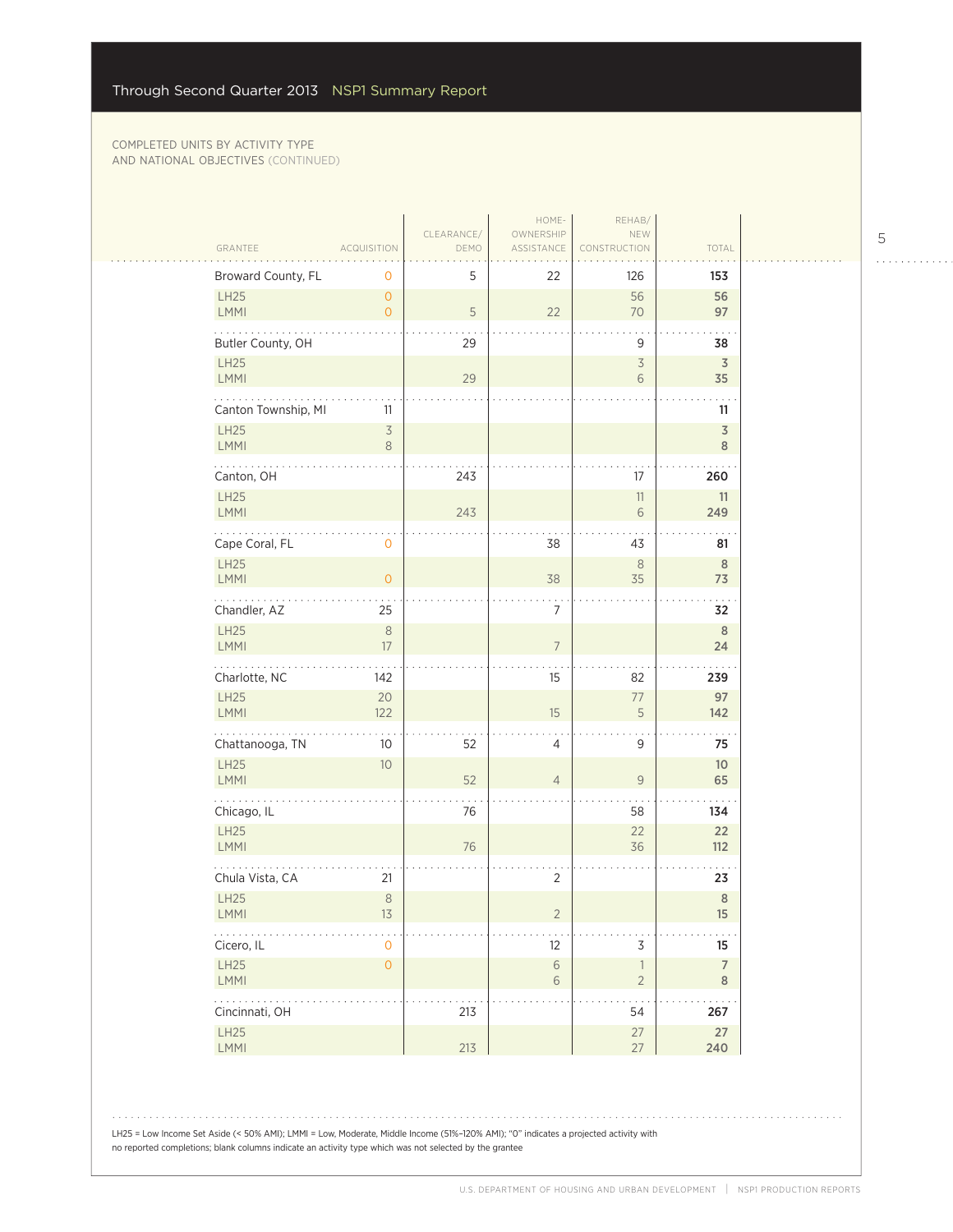$\sim$  .

| GRANTEE                                                    | <b>ACQUISITION</b>               | CLEARANCE/<br>DEMO | HOME-<br>OWNERSHIP<br>ASSISTANCE | REHAB/<br>NEW<br>CONSTRUCTION | TOTAL                         |  |
|------------------------------------------------------------|----------------------------------|--------------------|----------------------------------|-------------------------------|-------------------------------|--|
| Broward County, FL                                         | 0                                | 5                  | 22                               | 126                           | 153                           |  |
| LH25<br><b>LMMI</b>                                        | $\overline{O}$<br>$\overline{O}$ | 5                  | 22                               | 56<br>70                      | 56<br>97                      |  |
| Butler County, OH                                          |                                  | 29                 |                                  | 9                             | 38                            |  |
| LH25<br><b>LMMI</b>                                        |                                  | 29                 |                                  | $\mathsf 3$<br>6              | $\overline{\mathsf{3}}$<br>35 |  |
| Canton Township, MI                                        | 11                               |                    |                                  |                               | 11                            |  |
| LH25<br>LMMI                                               | $\overline{3}$<br>$\,8\,$        |                    |                                  |                               | $\mathfrak Z$<br>8            |  |
| Canton, OH                                                 |                                  | 243                |                                  | 17                            | 260                           |  |
| LH25<br>LMMI                                               |                                  | 243                |                                  | $11\,$<br>6                   | 11<br>249                     |  |
| Cape Coral, FL                                             | 0                                |                    | 38                               | 43                            | 81                            |  |
| LH25<br><b>LMMI</b>                                        | $\overline{O}$                   |                    | 38                               | $\,8\,$<br>35                 | $\,$ 8 $\,$<br>73             |  |
| .<br>Chandler, AZ                                          | 25                               |                    | $\overline{7}$                   |                               | 32                            |  |
| LH25<br>LMMI                                               | $\,8\,$<br>17                    |                    | $\overline{7}$                   |                               | $\,$ 8 $\,$<br>24             |  |
| Charlotte, NC                                              | 142                              |                    | 15                               | 82                            | 239                           |  |
| LH25<br>LMMI                                               | 20<br>122                        |                    | 15                               | $77 \,$<br>5                  | 97<br>142                     |  |
| .<br>Chattanooga, TN                                       | 10                               | 52                 | 4                                | 9                             | 75                            |  |
| LH25<br><b>LMMI</b>                                        | 10 <sup>°</sup>                  | 52                 | $\overline{4}$                   | 9                             | 10<br>65                      |  |
| Chicago, IL                                                |                                  | 76                 |                                  | 58                            | 134                           |  |
| <b>LH25</b><br>LMMI                                        |                                  | 76                 |                                  | 22<br>36                      | 22<br>112                     |  |
| Chula Vista, CA                                            | 21                               |                    | $\overline{2}$                   |                               | 23                            |  |
| LH25<br><b>LMMI</b>                                        | $\,8\,$<br>13                    |                    | $\overline{2}$                   |                               | $\,$ 8 $\,$<br>15             |  |
| Cicero, IL                                                 | $\overline{0}$                   |                    | 12                               | 3                             | 15                            |  |
| LH25<br>LMMI                                               | $\mathsf{O}\xspace$              |                    | $\,$ $\,$ $\,$<br>6              | $\mathbf{1}$<br>$\sqrt{2}$    | $\overline{7}$<br>$\,$ 8 $\,$ |  |
| $\mathbb{Z}^2$ . The same $\mathbb{Z}^2$<br>Cincinnati, OH |                                  | 213                |                                  | 54                            | 267                           |  |
| LH25<br>LMMI                                               |                                  | 213                |                                  | 27<br>27                      | 27<br>240                     |  |
|                                                            |                                  |                    |                                  |                               |                               |  |

 $1.1.1.1.1.1.1.1$ 

LH25 = Low Income Set Aside (< 50% AMI); LMMI = Low, Moderate, Middle Income (51%–120% AMI); "0" indicates a projected activity with no reported completions; blank columns indicate an activity type which was not selected by the grantee

 $\begin{array}{cccccccccccccc} . & . & . & . & . & . & . & . & . & . & . & . & . \end{array}$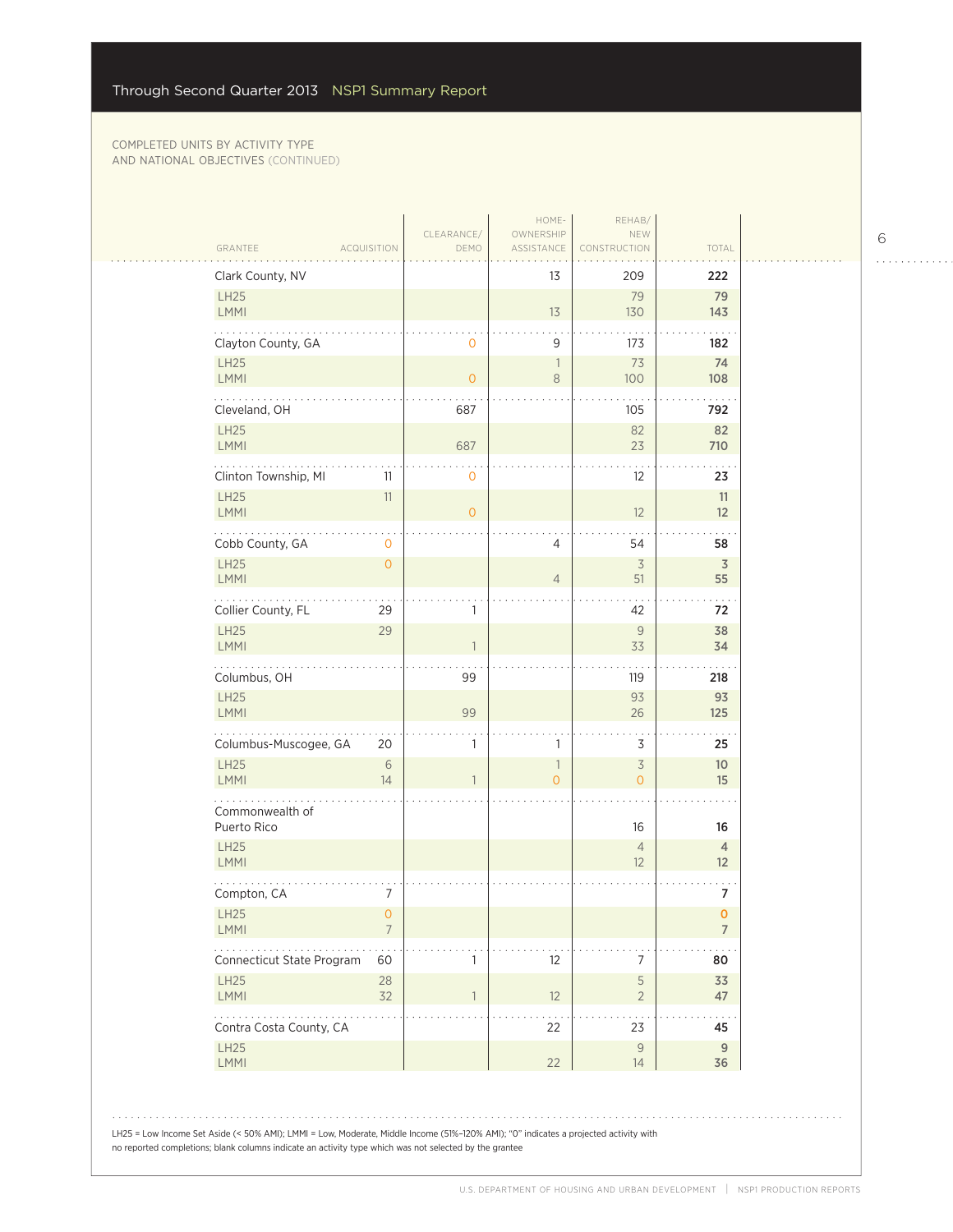$\sim 1$  .

 $\bar{\psi}$  .

| Clark County, NV                  |                |                | 13             | 209                              | 222                   |
|-----------------------------------|----------------|----------------|----------------|----------------------------------|-----------------------|
| LH25<br>LMMI                      |                |                | 13             | 79<br>130                        | 79<br>143             |
| Clayton County, GA                |                | $\mathbf 0$    | 9              | 173                              | 182                   |
| LH25<br>LMMI                      |                | $\overline{0}$ | 1<br>8         | 73<br>100                        | 74<br>108             |
| .<br>Cleveland, OH                |                | 687            |                | 105                              | 792                   |
| LH25<br><b>LMMI</b>               |                | 687            |                | 82<br>23                         | 82<br>710             |
| Clinton Township, MI              | 11             | $\mathbf 0$    |                | $12 \overline{ }$                | 23                    |
| <b>LH25</b><br><b>LMMI</b>        | 11             | $\overline{0}$ |                | 12                               | 11<br>12              |
| Cobb County, GA                   | 0              |                | 4              | 54                               | 58                    |
| <b>LH25</b><br>LMMI               | $\overline{O}$ |                | $\overline{4}$ | $\overline{3}$<br>51             | $\overline{3}$<br>55  |
| Collier County, FL                | 29             | 1              |                | 42                               | 72                    |
| <b>LH25</b><br><b>LMMI</b>        | 29             |                |                | 9<br>33                          | 38<br>34              |
| Columbus, OH                      |                | 99             |                | 119                              | 218                   |
| LH25<br>LMMI                      |                | 99             |                | 93<br>26                         | 93<br>125             |
| Columbus-Muscogee, GA             | 20             | 1              | 1              | 3                                | 25                    |
| LH25<br><b>LMMI</b>               | 6<br>14        | $\mathbf{1}$   | 1<br>$\Omega$  | $\overline{3}$<br>$\overline{O}$ | 10 <sup>°</sup><br>15 |
| Commonwealth of                   |                |                |                |                                  |                       |
| Puerto Rico<br>LH25               |                |                |                | 16<br>$\overline{4}$             | 16<br>4               |
| LMMI                              |                |                |                | 12                               | 12                    |
| Compton, CA<br>LH25               | 7<br>O.        |                |                |                                  | 7<br>$\mathbf 0$      |
| <b>LMMI</b><br>.                  | $\overline{7}$ |                |                |                                  | $\overline{7}$        |
| Connecticut State Program<br>LH25 | 60<br>28       | 1              | 12             | 7<br>5                           | 80<br>33              |
| <b>LMMI</b>                       | 32             | $\mathbf{1}$   | 12             | $\overline{2}$                   | 47                    |
| Contra Costa County, CA<br>LH25   |                |                | 22             | 23<br>$\mathsf 9$                | 45<br>9               |
| <b>LMMI</b>                       |                |                | 22             | 14                               | 36                    |

6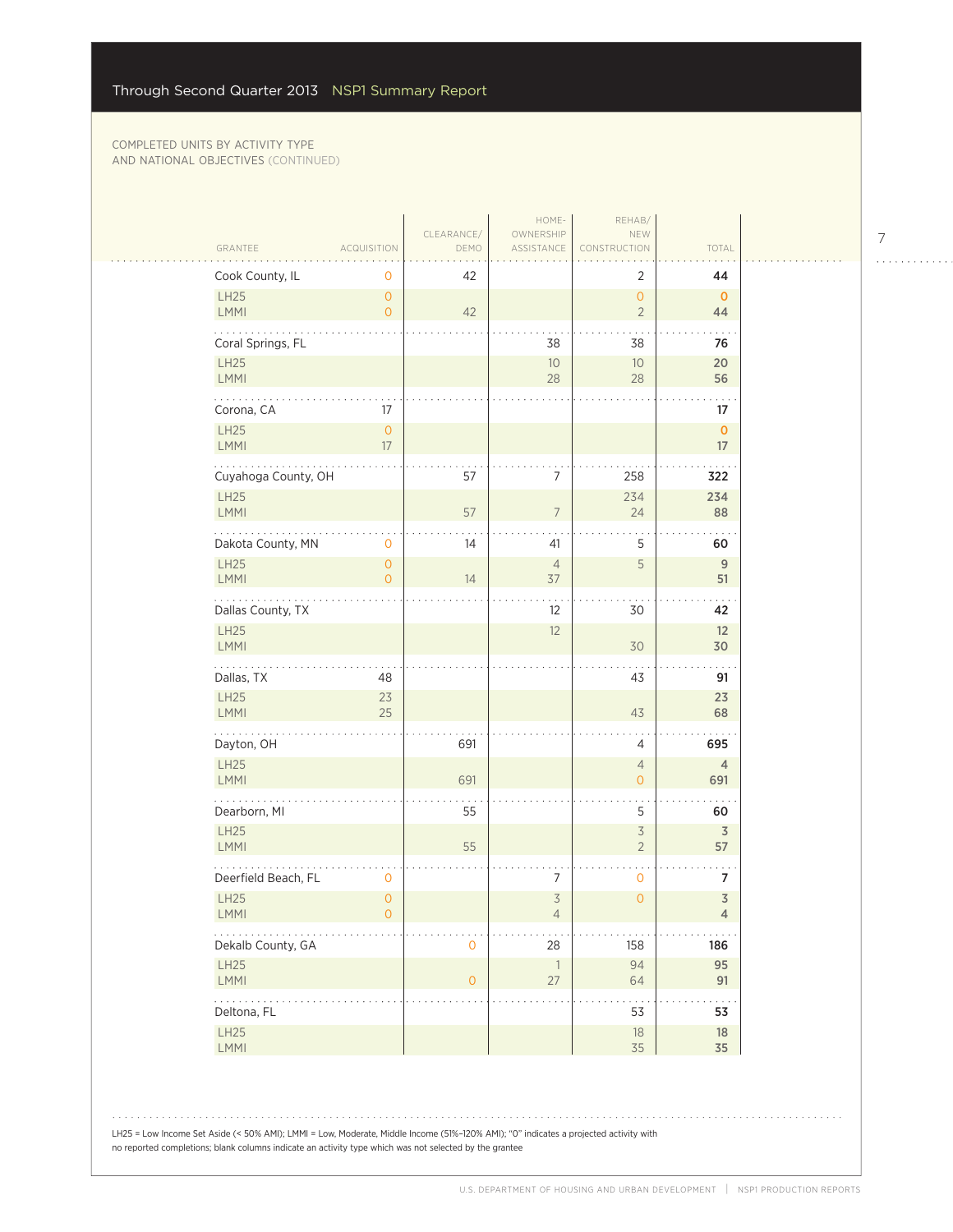|                                             |                                       | CLEARANCE/          | HOME-<br>OWNERSHIP               | REHAB/<br>NEW                         |                                           |
|---------------------------------------------|---------------------------------------|---------------------|----------------------------------|---------------------------------------|-------------------------------------------|
| GRANTEE                                     | <b>ACQUISITION</b>                    | DEMO                | ASSISTANCE                       | CONSTRUCTION                          | TOTAL                                     |
| Cook County, IL                             | 0                                     | 42                  |                                  | 2                                     | 44                                        |
| LH25<br><b>LMMI</b>                         | $\overline{O}$<br>$\overline{O}$      | 42                  |                                  | $\mathsf{O}$<br>$\overline{2}$        | $\mathbf 0$<br>44                         |
| Coral Springs, FL                           |                                       |                     | 38                               | 38                                    | 76                                        |
| <b>LH25</b><br><b>LMMI</b>                  |                                       |                     | 10<br>28                         | $10$<br>28                            | 20<br>56                                  |
| Corona, CA                                  | 17                                    |                     |                                  |                                       | 17                                        |
| LH25<br><b>LMMI</b>                         | $\mathsf O$<br>$17\,$                 |                     |                                  |                                       | $\mathbf{O}$<br>17                        |
| $\sim$ $\sim$ $\sim$<br>Cuyahoga County, OH |                                       | 57                  | $\overline{7}$                   | 258                                   | 322                                       |
| LH25<br>LMMI                                |                                       | 57                  | $\overline{7}$                   | 234<br>24                             | 234<br>88                                 |
| Dakota County, MN                           | $\mathbf 0$                           | 14                  | 41                               | 5                                     | 60                                        |
| <b>LH25</b><br>LMMI                         | $\circ$<br>$\overline{O}$             | 14                  | $\overline{4}$<br>37             | 5                                     | 9<br>51                                   |
| .<br>Dallas County, TX                      |                                       |                     | 12                               | 30                                    | 42                                        |
| LH25<br>LMMI                                |                                       |                     | 12                               | 30                                    | 12<br>30                                  |
| Dallas, TX                                  | 48                                    |                     |                                  | 43                                    | 91                                        |
| LH25<br>LMMI                                | 23<br>25                              |                     |                                  | 43                                    | 23<br>68                                  |
| Dayton, OH                                  |                                       | 691                 |                                  | $\sqrt{4}$                            | 695                                       |
| <b>LH25</b><br><b>LMMI</b>                  |                                       | 691                 |                                  | $\overline{4}$<br>$\mathsf{O}\xspace$ | $\overline{4}$<br>691                     |
| Dearborn, MI                                |                                       | 55                  |                                  | 5                                     | 60                                        |
| LH25<br>LMMI                                |                                       | 55                  |                                  | $\preceq$<br>$\overline{2}$           | $\overline{3}$<br>57                      |
| Deerfield Beach, FL                         | $\mathbf 0$                           |                     | $\overline{7}$                   | $\mathbf 0$                           | 7                                         |
| LH25<br>LMMI                                | $\mathsf{O}\xspace$<br>$\overline{O}$ |                     | $\overline{3}$<br>$\overline{4}$ | $\mathsf{O}\xspace$                   | $\overline{\mathsf{3}}$<br>$\overline{4}$ |
| Dekalb County, GA                           |                                       | $\mathsf{O}\xspace$ | 28                               | 158                                   | 186                                       |
| LH25<br>LMMI                                |                                       | $\mathsf{O}\xspace$ | $\overline{1}$<br>27             | 94<br>64                              | 95<br>91                                  |
| .<br>Deltona, FL                            |                                       |                     |                                  | 53                                    | 53                                        |
| LH25<br>LMMI                                |                                       |                     |                                  | $18\,$<br>35                          | 18<br>35                                  |

 $\begin{array}{cccccccccccccc} . & . & . & . & . & . & . & . & . & . & . & . & . \end{array}$ 

7

LH25 = Low Income Set Aside (< 50% AMI); LMMI = Low, Moderate, Middle Income (51%–120% AMI); "0" indicates a projected activity with no reported completions; blank columns indicate an activity type which was not selected by the grantee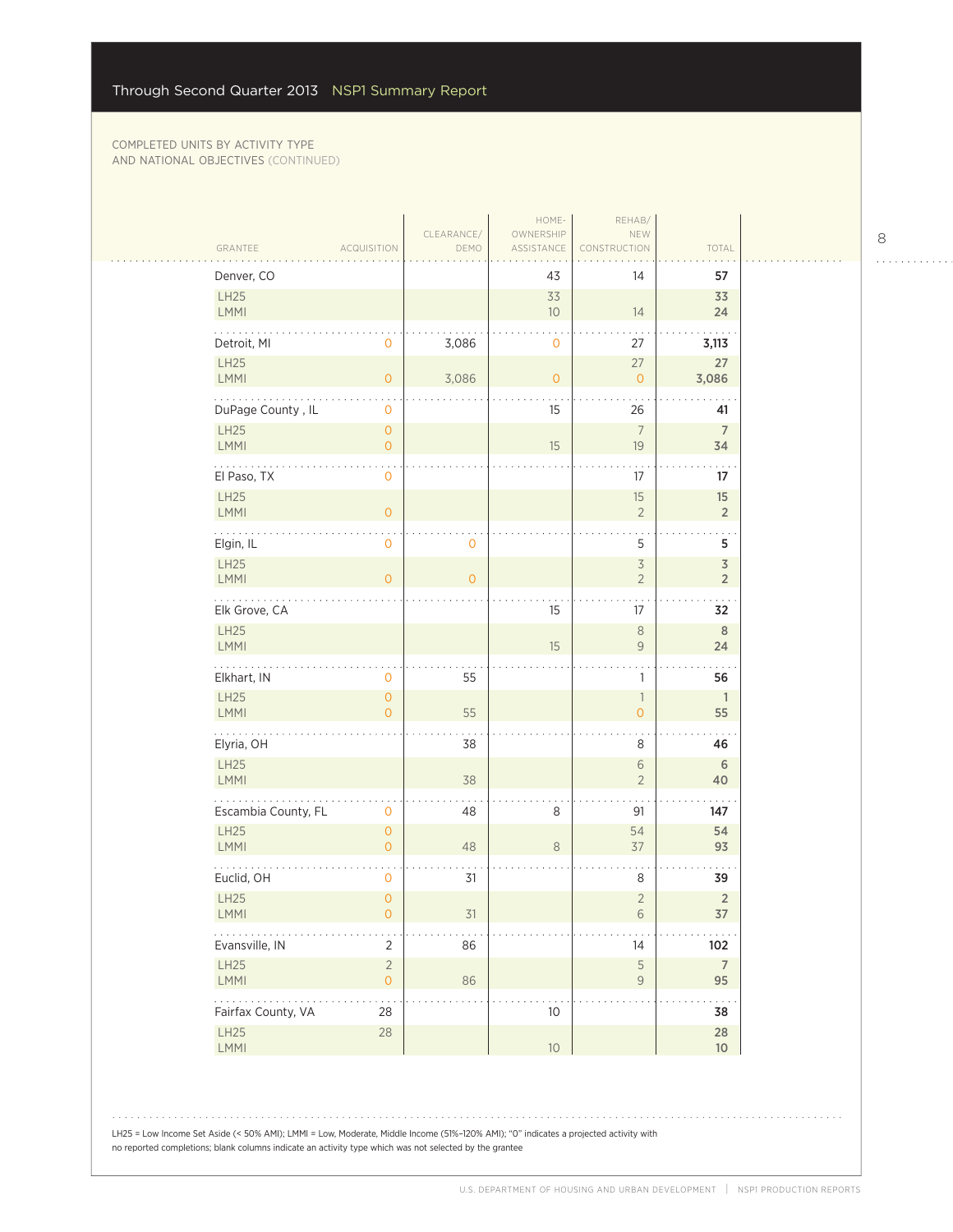| Denver, CO              |                                            |                | 43             | 14                                         | 57                          |
|-------------------------|--------------------------------------------|----------------|----------------|--------------------------------------------|-----------------------------|
| LH25<br>LMMI            |                                            |                | 33<br>10       | 14                                         | 33<br>24                    |
| Detroit, MI             | 0                                          | 3,086          | $\mathbf 0$    | 27                                         | 3,113                       |
| LH25<br>LMMI            | $\circ$                                    | 3,086          | $\overline{O}$ | 27<br>$\overline{O}$                       | 27<br>3,086                 |
| DuPage County, IL       | $\mathsf{O}$                               |                | 15             | 26                                         | 41                          |
| LH25<br>LMMI            | $\mathsf{O}\xspace$<br>$\mathsf{O}\xspace$ |                | 15             | $7\overline{ }$<br>19                      | $\overline{7}$<br>34        |
| El Paso, TX             | $\mathsf{O}$                               |                |                | 17                                         | 17                          |
| LH25<br>LMMI            | $\mathsf O$                                |                |                | 15<br>$\sqrt{2}$                           | 15<br>$\sqrt{2}$            |
| Elgin, IL               | $\mathsf{O}$                               | 0              |                | 5                                          | 5                           |
| <b>LH25</b><br>LMMI     | $\overline{O}$                             | $\overline{0}$ |                | $\overline{\mathcal{S}}$<br>$\overline{2}$ | $\mathfrak Z$<br>$\sqrt{2}$ |
| .<br>Elk Grove, CA      |                                            |                | 15             | 17                                         | 32                          |
| LH25<br>LMMI            |                                            |                | 15             | $\,8\,$<br>$\mathsf{9}$                    | $\,$ 8 $\,$<br>24           |
| Elkhart, IN             | $\mathsf{O}$                               | 55             |                | $\mathbf{1}$                               | 56                          |
| LH25<br>LMMI            | $\mathsf{O}\xspace$<br>$\overline{O}$      | 55             |                | $\overline{\phantom{a}}$<br>$\circ$        | $\mathbf{1}$<br>55          |
| .<br>Elyria, OH         |                                            | 38             |                | 8                                          | 46                          |
| LH25<br><b>LMMI</b>     |                                            | 38             |                | $\sqrt{6}$<br>$\overline{2}$               | $\sqrt{6}$<br>40            |
| Escambia County, FL     | $\mathbf 0$                                | 48             | 8              | 91                                         | 147                         |
| LH25<br>LMMI            | $\mathsf{O}\xspace$<br>$\overline{O}$      | 48             | $\,8\,$        | 54<br>$37\,$                               | 54<br>93                    |
| Euclid, OH              | 0                                          | 31             |                | 8                                          | 39                          |
| LH25<br>LMMI            | $\mathsf{O}\xspace$<br>$\mathsf{O}\xspace$ | 31             |                | $\sqrt{2}$<br>$\,$ $\,$ $\,$ $\,$          | $\sqrt{2}$<br>$37\,$        |
| .<br>Evansville, IN     | $\overline{2}$                             | 86             |                | 14                                         | $102\,$                     |
| LH25<br>LMMI            | $\overline{2}$<br>$\mathsf{O}\xspace$      | 86             |                | $\mathsf S$<br>$\mathcal G$                | $\overline{7}$<br>95        |
| .<br>Fairfax County, VA | $\sim$<br>28                               |                | 10             |                                            | 38                          |
| LH25<br>LMMI            | $28\,$                                     |                | 10             |                                            | $28\,$<br>10 <sup>°</sup>   |

LH25 = Low Income Set Aside (< 50% AMI); LMMI = Low, Moderate, Middle Income (51%–120% AMI); "0" indicates a projected activity with no reported completions; blank columns indicate an activity type which was not selected by the grantee

 $\begin{array}{cccccccccccccc} . & . & . & . & . & . & . & . & . & . & . & . & . \end{array}$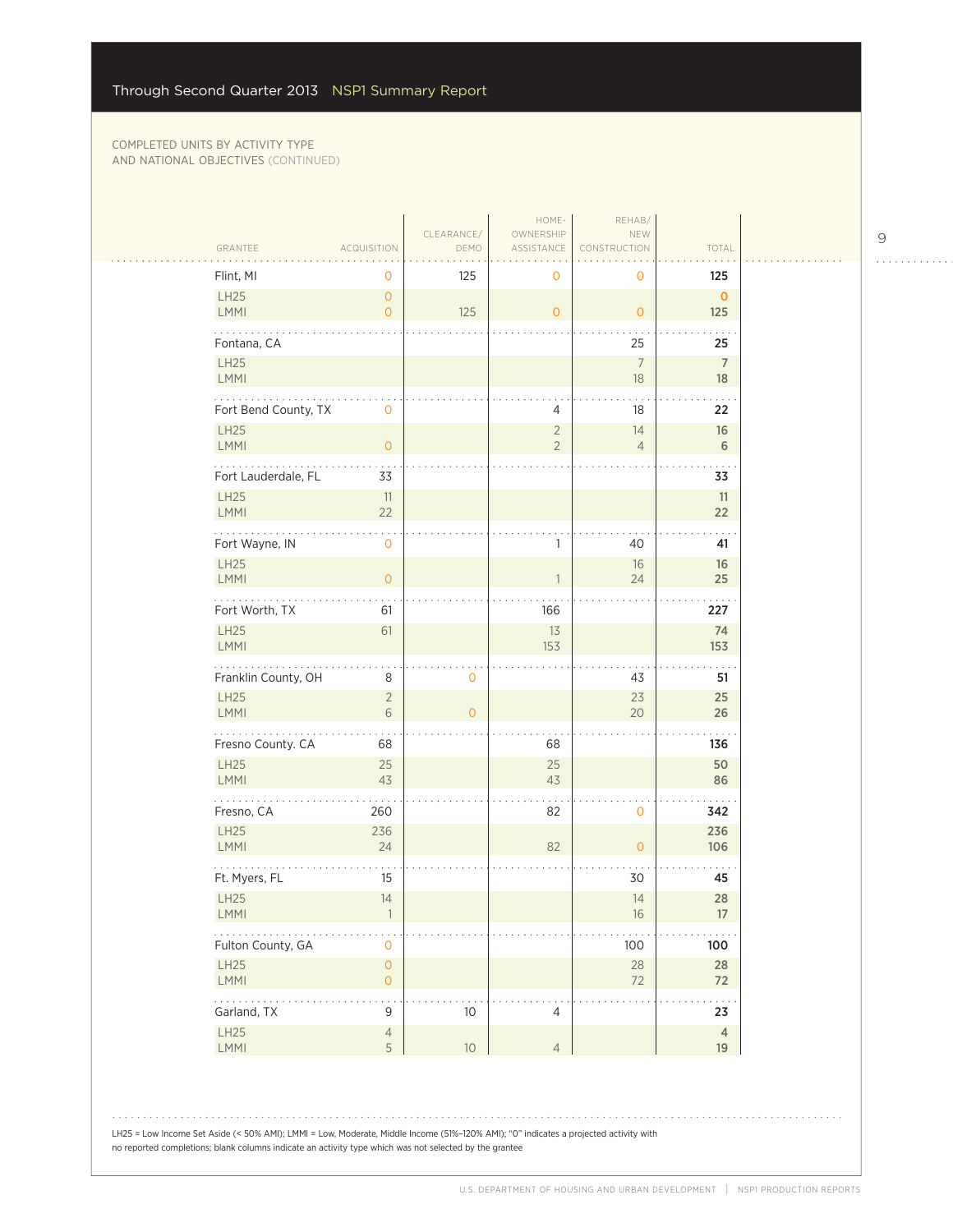$\mathbb{R}$ 

| GRANTEE                            | <b>ACQUISITION</b>            | CLEARANCE/<br>DEMO  | HOME-<br>OWNERSHIP<br>ASSISTANCE | REHAB/<br>NEW<br><b>FRUCTION</b> | TOTAL                        |
|------------------------------------|-------------------------------|---------------------|----------------------------------|----------------------------------|------------------------------|
| Flint, MI                          | 0                             | 125                 | 0                                | 0                                | 125                          |
| <b>LH25</b><br>LMMI                | $\circ$<br>$\overline{O}$     | 125                 | $\circ$                          | $\circ$                          | $\mathbf{O}$<br>125          |
| Fontana, CA<br>LH25<br><b>LMMI</b> |                               |                     |                                  | 25<br>$7\overline{ }$<br>18      | 25<br>$\overline{7}$<br>18   |
| Fort Bend County, TX               | $\mathbf 0$                   |                     | 4                                | 18                               | 22                           |
| <b>LH25</b><br><b>LMMI</b>         | $\overline{0}$                |                     | $\overline{2}$<br>$\overline{2}$ | 14<br>$\overline{4}$             | 16<br>6                      |
| Fort Lauderdale, FL                | 33                            |                     |                                  |                                  | 33                           |
| <b>LH25</b><br>LMMI                | 11<br>22                      |                     |                                  |                                  | 11<br>22                     |
| Fort Wayne, IN                     | $\mathbf 0$                   |                     | 1                                | 40                               | 41                           |
| LH25<br><b>LMMI</b>                | $\overline{O}$                |                     |                                  | 16<br>24                         | 16<br>25                     |
| .<br>Fort Worth, TX                | 61                            |                     | 166                              |                                  | 227                          |
| <b>LH25</b><br><b>LMMI</b>         | 61                            |                     | 13<br>153                        |                                  | 74<br>153                    |
| Franklin County, OH                | 8                             | $\mathbf 0$         |                                  | 43                               | 51                           |
| <b>LH25</b><br><b>LMMI</b>         | $\overline{2}$<br>6           | $\mathsf{O}\xspace$ |                                  | 23<br>20                         | 25<br>26                     |
| .<br>Fresno County. CA             | 68                            |                     | 68                               |                                  | 136                          |
| LH25<br><b>LMMI</b>                | 25<br>43                      |                     | 25<br>43                         |                                  | 50<br>86                     |
| Fresno, CA                         | 260                           |                     | 82                               | $\mathbf 0$                      | 342                          |
| <b>LH25</b><br>LMMI                | 236<br>24                     |                     | 82                               | $\overline{O}$                   | 236<br>106                   |
| Ft. Myers, FL                      | 15                            |                     |                                  | 30                               | 45                           |
| <b>LH25</b><br>LMMI                | 14                            |                     |                                  | 14<br>$16\,$                     | 28<br>17                     |
| .<br>Fulton County, GA             | $\mathbf 0$                   |                     |                                  | $100$                            | 100                          |
| LH25                               | $\mathsf{O}\xspace$           |                     |                                  | $28\,$<br>72                     | $28\,$<br>72                 |
| LMMI                               | $\overline{O}$                |                     |                                  |                                  |                              |
| .<br>Garland, TX<br>LH25           | $\mathsf 9$<br>$\overline{4}$ | $10$                | $\overline{4}$                   |                                  | $\cdots$<br>23<br>$\sqrt{4}$ |

9

 $\begin{array}{cccccccccccccc} . & . & . & . & . & . & . & . & . & . & . & . & . \end{array}$ 

LH25 = Low Income Set Aside (< 50% AMI); LMMI = Low, Moderate, Middle Income (51%–120% AMI); "0" indicates a projected activity with no reported completions; blank columns indicate an activity type which was not selected by the grantee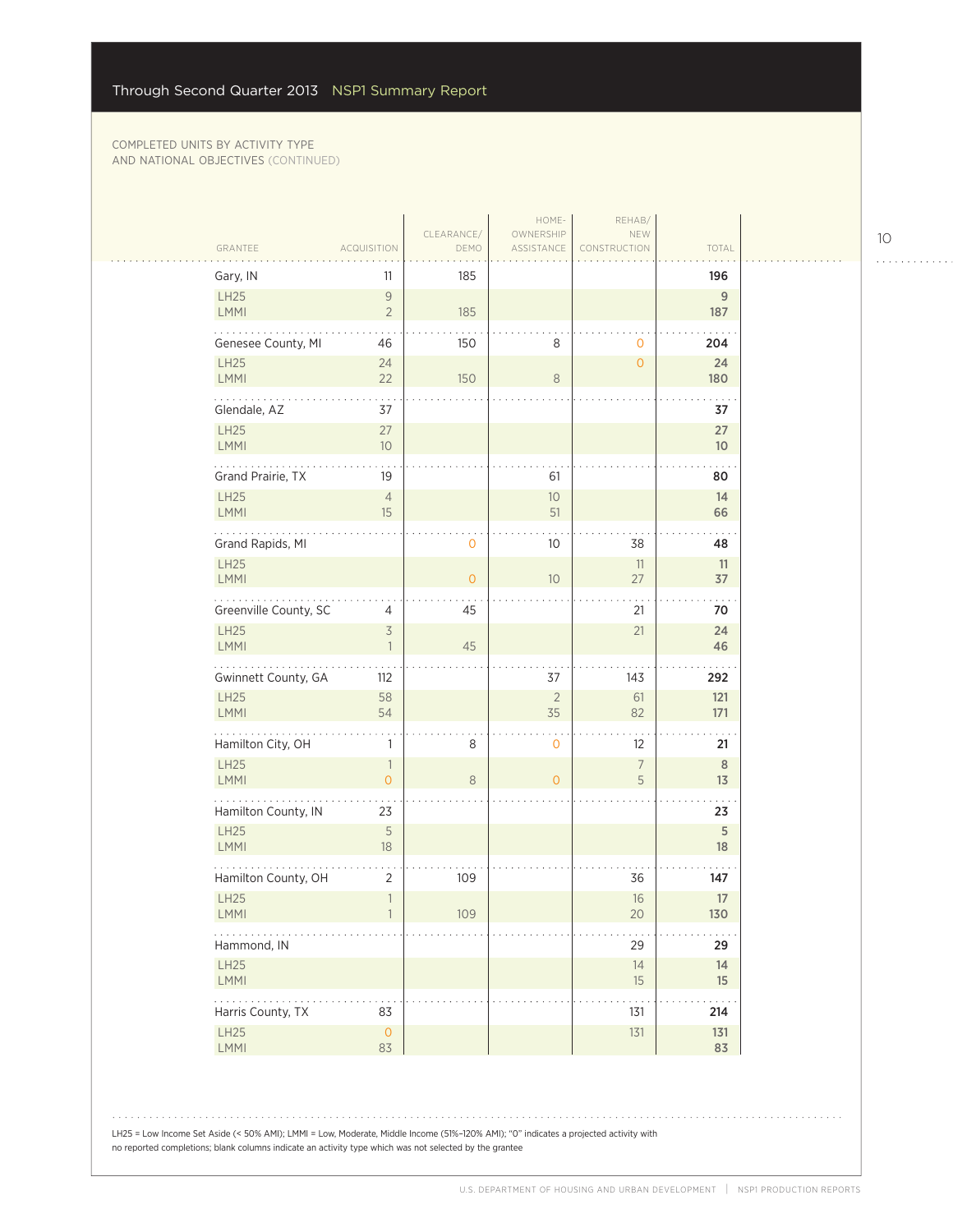| Gary, IN                    | 11                               | 185            |                |                     | 196         |
|-----------------------------|----------------------------------|----------------|----------------|---------------------|-------------|
| LH25                        | $\mathcal G$                     |                |                |                     | $\mathsf g$ |
| LMMI                        | $\overline{2}$                   | 185            |                |                     | 187         |
| Genesee County, MI          | 46                               | 150            | 8              | 0                   | 204         |
| LH25                        | 24                               |                |                | $\overline{O}$      | 24          |
| LMMI<br>.                   | 22                               | 150            | $\,8\,$        |                     | 180         |
| Glendale, AZ                | 37                               |                |                |                     | 37          |
| LH25<br>LMMI                | 27<br>10 <sup>°</sup>            |                |                |                     | 27<br>10    |
|                             |                                  |                |                |                     |             |
| Grand Prairie, TX           | 19                               |                | 61             |                     | 80          |
| LH25<br>LMMI                | $\overline{4}$<br>15             |                | $10$<br>51     |                     | 14<br>66    |
| Grand Rapids, MI            |                                  | 0              | 10             | 38                  | 48          |
| LH25                        |                                  |                |                | 11                  | 11          |
| <b>LMMI</b>                 |                                  | $\overline{0}$ | 10             | 27                  | 37          |
| Greenville County, SC       | 4                                | 45             |                | 21                  | 70          |
| <b>LH25</b><br><b>LMMI</b>  | $\overline{3}$<br>$\overline{1}$ | 45             |                | 21                  | 24<br>46    |
| Gwinnett County, GA         | 112                              |                | 37             | 143                 | 292         |
| <b>LH25</b>                 | 58                               |                | $\sqrt{2}$     | 61                  | 121         |
| LMMI<br>.                   | 54                               |                | 35             | 82                  | 171         |
| Hamilton City, OH           | 1                                | 8              | 0              | 12                  | 21          |
| LH25<br>LMMI                | $\overline{1}$<br>$\overline{O}$ | $\,8\,$        | $\overline{O}$ | $\overline{7}$<br>5 | 8<br>13     |
| Hamilton County, IN         | 23                               |                |                |                     | 23          |
| LH25<br>LMMI                | $\mathsf S$<br>18                |                |                |                     | 5<br>18     |
|                             |                                  |                |                |                     |             |
| Hamilton County, OH<br>LH25 | 2<br>$\ensuremath{\mathbb{1}}$   | 109            |                | 36<br>16            | 147<br>17   |
| LMMI                        |                                  | 109            |                | 20                  | 130         |
| Hammond, IN                 |                                  |                |                | 29                  | 29          |
| LH25                        |                                  |                |                | 14                  | 14          |
| LMMI<br>$\ldots$            |                                  |                |                | 15                  | 15          |
| Harris County, TX           | 83                               |                |                | 131                 | 214         |
| LH25<br>LMMI                | $\mathsf{O}$<br>83               |                |                | 131                 | 131<br>83   |
|                             |                                  |                |                |                     |             |

LH25 = Low Income Set Aside (< 50% AMI); LMMI = Low, Moderate, Middle Income (51%–120% AMI); "0" indicates a projected activity with no reported completions; blank columns indicate an activity type which was not selected by the grantee

10

. . . . . . . . . . . .

 $\overline{\mathbb{R}}$  .

 $\sim$   $\sim$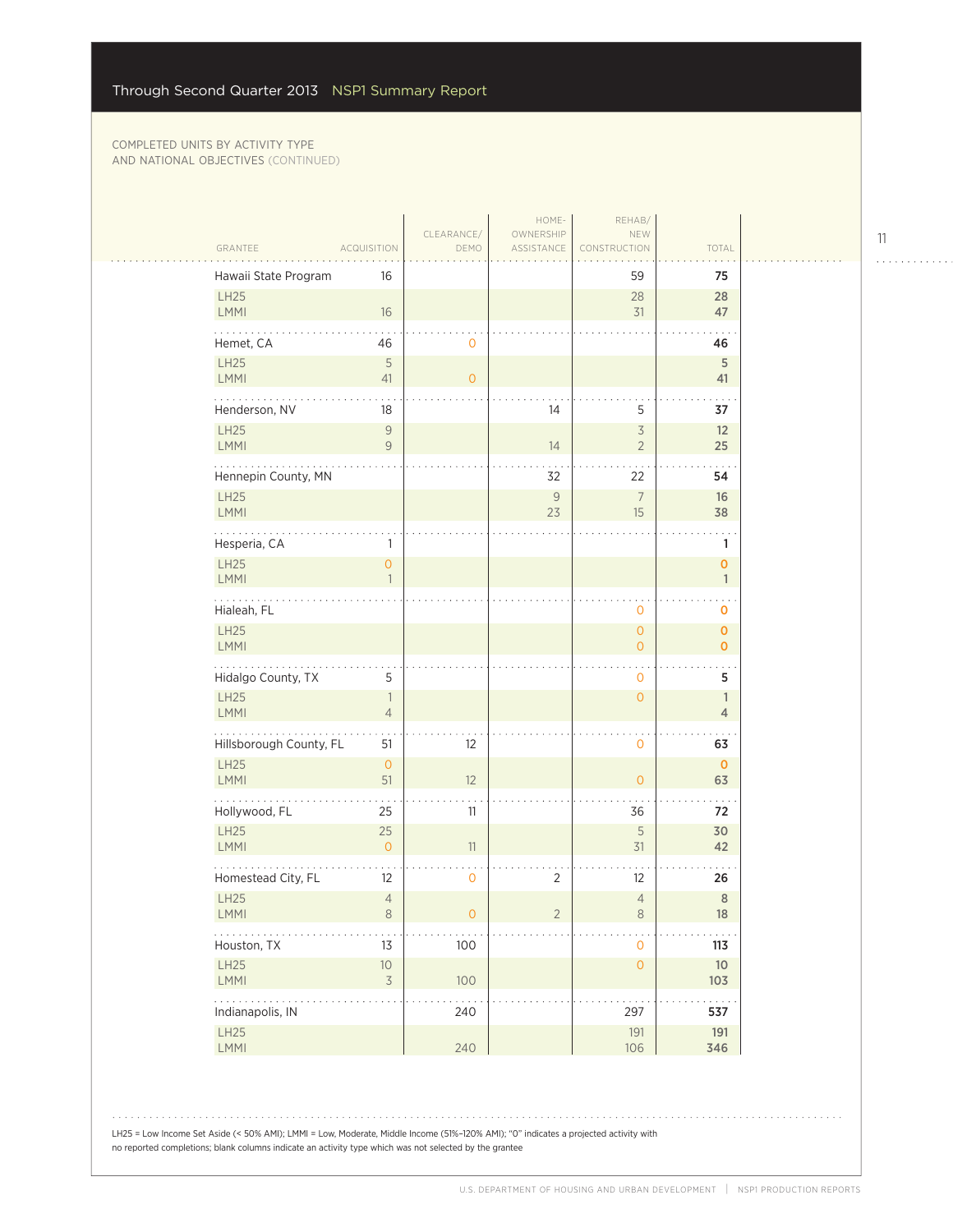$\sim$  .

|                                                                |                                  | CLEARANCE/     | HOME-<br>OWNERSHIP | REHAB/<br>NEW                    |                                           |  |
|----------------------------------------------------------------|----------------------------------|----------------|--------------------|----------------------------------|-------------------------------------------|--|
| GRANTEE                                                        | <b>ACQUISITION</b>               | DEMO           | ASSISTANCE         | CONSTRUCTION                     | TOTAL                                     |  |
| Hawaii State Program                                           | 16                               |                |                    | 59                               | 75                                        |  |
| LH25<br><b>LMMI</b>                                            | 16                               |                |                    | 28<br>31                         | 28<br>47                                  |  |
| Hemet, CA                                                      | 46                               | $\mathbf 0$    |                    |                                  | 46                                        |  |
| LH25<br>LMMI                                                   | $\sqrt{5}$<br>41                 | $\overline{O}$ |                    |                                  | $\sqrt{5}$<br>41                          |  |
| Henderson, NV                                                  | 18                               |                | 14                 | 5                                | 37                                        |  |
| LH25<br><b>LMMI</b>                                            | $\mathcal G$<br>$\mathcal G$     |                | 14                 | $\overline{3}$<br>$\overline{2}$ | 12<br>25                                  |  |
| Hennepin County, MN                                            |                                  |                | 32                 | 22                               | 54                                        |  |
| <b>LH25</b><br><b>LMMI</b>                                     |                                  |                | $\mathsf{9}$<br>23 | $\overline{7}$<br>15             | 16<br>38                                  |  |
| Hesperia, CA                                                   | 1                                |                |                    |                                  | 1                                         |  |
| LH25<br><b>LMMI</b>                                            | $\overline{0}$                   |                |                    |                                  | 0<br>$\mathbb{1}$                         |  |
| Hialeah, FL                                                    |                                  |                |                    | 0                                | 0                                         |  |
| LH25<br><b>LMMI</b>                                            |                                  |                |                    | $\overline{0}$<br>$\overline{O}$ | $\overline{\mathbf{O}}$<br>$\overline{O}$ |  |
| Hidalgo County, TX                                             | 5                                |                |                    | 0                                | $\sim$ $\sim$<br>5                        |  |
| LH25<br><b>LMMI</b>                                            | 1<br>$\overline{4}$              |                |                    | $\overline{O}$                   | $\mathbf{1}$<br>$\overline{4}$            |  |
| Hillsborough County, FL                                        | 51                               | 12             |                    | 0                                | 63                                        |  |
| LH25<br><b>LMMI</b>                                            | $\circ$<br>51                    | 12             |                    | $\overline{0}$                   | $\mathbf{0}$<br>63                        |  |
| Hollywood, FL                                                  | 25                               | 11             |                    | 36                               | 72                                        |  |
| LH25<br><b>LMMI</b>                                            | 25<br>$\overline{O}$             | 11             |                    | 5<br>31                          | 30<br>42                                  |  |
| Homestead City, FL                                             | 12                               | 0              | $\overline{2}$     | 12                               | 26                                        |  |
| LH25<br><b>LMMI</b>                                            | $\sqrt{4}$<br>8                  | 0              | 2                  | $\overline{4}$<br>$8\phantom{1}$ | $\,$ 8 $\,$<br>18                         |  |
| Houston, TX                                                    | 13                               | 100            |                    | $\mathbf 0$                      | 113                                       |  |
| LH25<br>LMMI                                                   | $10$<br>$\overline{\mathcal{S}}$ | 100            |                    | $\mathsf{O}\xspace$              | $10$<br>103                               |  |
| $\mathbb{Z}^2$ . The set of $\mathbb{Z}^2$<br>Indianapolis, IN |                                  | 240            |                    | 297                              | 537                                       |  |
| LH25<br>LMMI                                                   |                                  | 240            |                    | 191<br>106                       | 191<br>346                                |  |

LH25 = Low Income Set Aside (< 50% AMI); LMMI = Low, Moderate, Middle Income (51%–120% AMI); "0" indicates a projected activity with no reported completions; blank columns indicate an activity type which was not selected by the grantee

11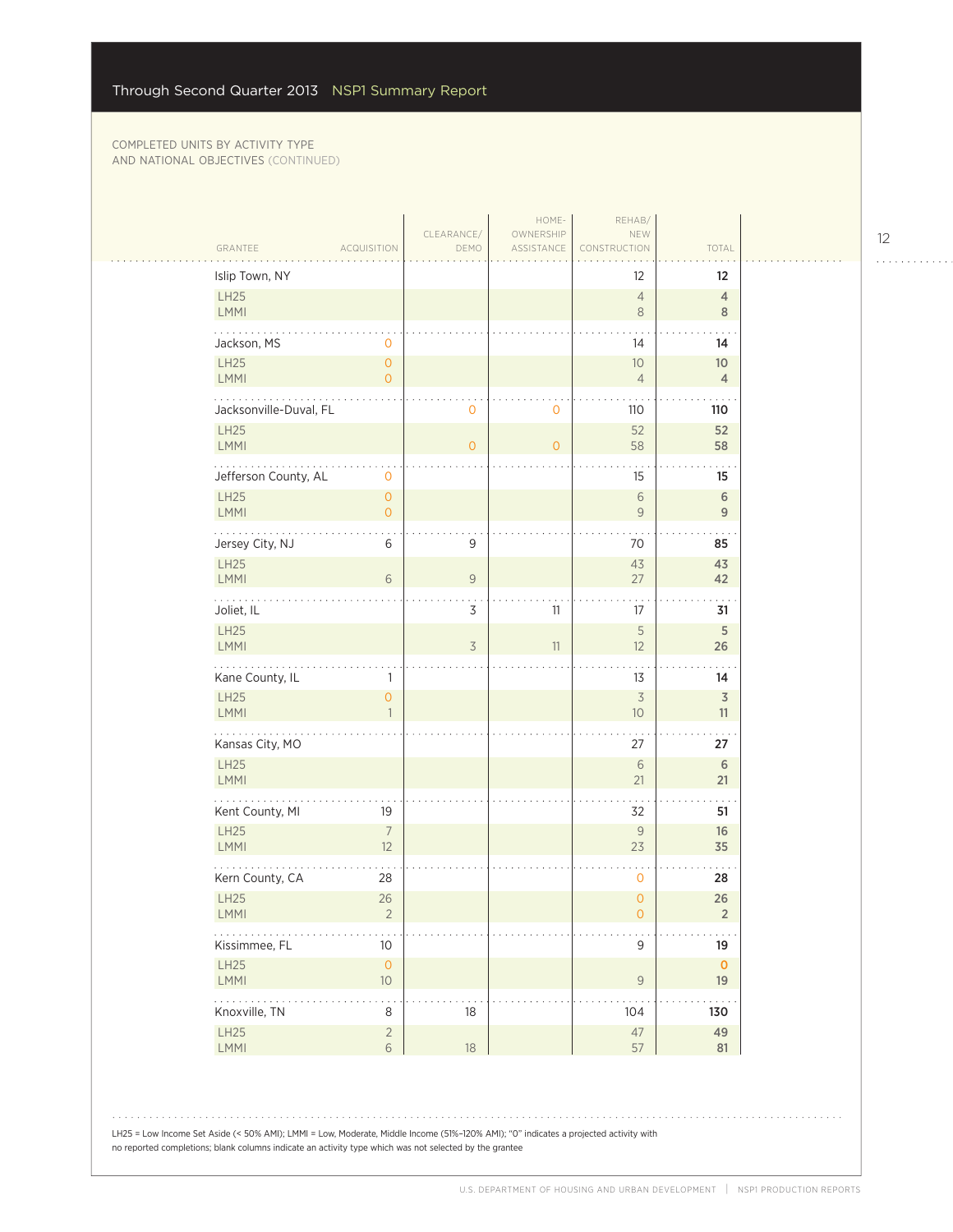$\sim$  .

| Islip Town, NY                                              |                                |                | ASSISTANCE     | CONSTRUCTION                   | TOTAL                         |
|-------------------------------------------------------------|--------------------------------|----------------|----------------|--------------------------------|-------------------------------|
|                                                             |                                |                |                | 12                             | $12 \overline{ }$             |
| LH25<br>LMMI                                                |                                |                |                | $\overline{4}$<br>8            | $\overline{4}$<br>8           |
| Jackson, MS                                                 | $\mathbf{O}$                   |                |                | 14                             | 14                            |
| LH25<br>LMMI                                                | $\circ$<br>$\overline{O}$      |                |                | 10<br>$\overline{4}$           | 10<br>$\overline{4}$          |
|                                                             |                                |                |                |                                |                               |
| Jacksonville-Duval, FL<br><b>LH25</b>                       |                                | $\mathbf 0$    | $\mathbf 0$    | 110<br>52                      | 110<br>52                     |
| LMMI                                                        |                                | $\overline{O}$ | $\overline{O}$ | 58                             | 58                            |
| Jefferson County, AL                                        | $\mathbf 0$                    |                |                | 15                             | 15                            |
| LH25<br>LMMI                                                | $\circ$<br>$\circ$             |                |                | $\sqrt{6}$<br>$\mathsf{9}$     | $\,$ 6<br>$\overline{9}$      |
| Jersey City, NJ                                             | 6                              | $\mathsf 9$    |                | 70                             | 85                            |
| LH25<br><b>LMMI</b>                                         | 6                              | $\mathcal G$   |                | 43<br>27                       | 43<br>42                      |
|                                                             |                                | $\cdot$        |                |                                |                               |
| Joliet, IL<br>LH25                                          |                                | 3              | 11             | 17<br>$\sqrt{5}$               | 31<br>$\mathsf S$             |
| LMMI                                                        |                                | $\overline{3}$ | 11             | 12                             | 26                            |
| Kane County, IL                                             | 1                              |                |                | 13                             | 14                            |
| LH25<br><b>LMMI</b>                                         | $\overline{0}$<br>$\mathbf{1}$ |                |                | $\overline{\mathcal{S}}$<br>10 | $\overline{\mathsf{3}}$<br>11 |
| .<br>Kansas City, MO                                        |                                |                |                | 27                             | 27                            |
| LH25<br><b>LMMI</b>                                         |                                |                |                | 6<br>21                        | 6<br>21                       |
| Kent County, MI                                             | 19                             |                |                | 32                             | 51                            |
| <b>LH25</b><br><b>LMMI</b>                                  | $\overline{7}$<br>12           |                |                | $\mathsf{9}$<br>23             | 16<br>35                      |
| Kern County, CA                                             | 28                             |                |                | 0                              | 28                            |
| LH25<br><b>LMMI</b>                                         | 26<br>2                        |                |                | $\overline{0}$<br>$\circ$      | 26<br>$\overline{2}$          |
| $\ldots$<br>Kissimmee, FL                                   | 10                             |                |                | $\mathsf 9$                    | 19                            |
| LH25<br>LMMI                                                | $\mathsf{O}\xspace$<br>$10\,$  |                |                | $\mathsf{9}$                   | $\mathbf 0$<br>19             |
| $\mathbb{Z}^2$ . The set of $\mathbb{Z}^2$<br>Knoxville, TN | 8                              | 18             |                | 104                            | 130                           |
| LH25<br>LMMI                                                | $\overline{2}$<br>$\sqrt{6}$   | 18             |                | $47\,$<br>57                   | 49<br>81                      |

LH25 = Low Income Set Aside (< 50% AMI); LMMI = Low, Moderate, Middle Income (51%–120% AMI); "0" indicates a projected activity with no reported completions; blank columns indicate an activity type which was not selected by the grantee

12

. . . . . . . . . . . .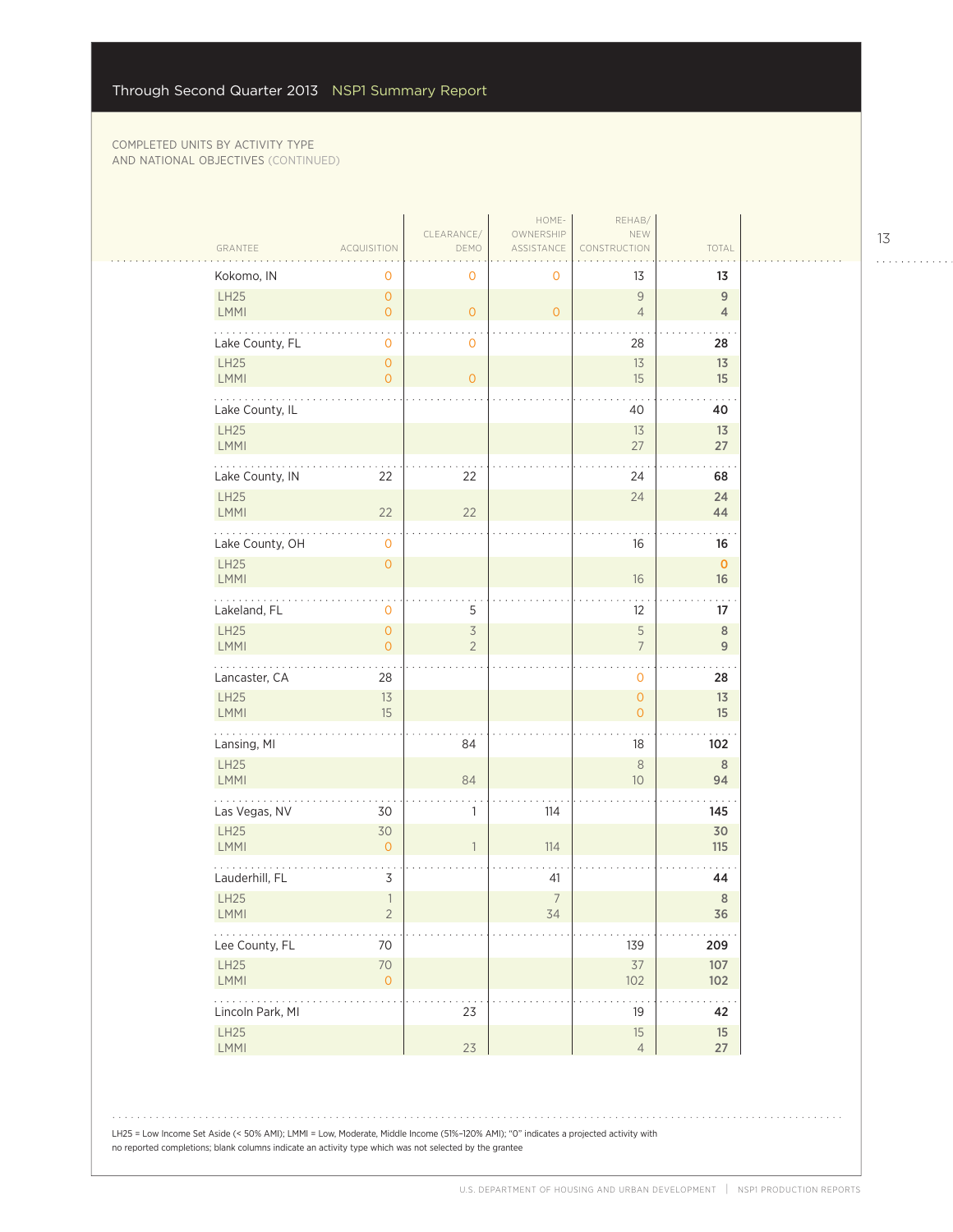| GRANTEE               | <b>ACQUISITION</b>                      | CLEARANCE/<br>DEMO               | HOME-<br>OWNERSHIP<br>ASSISTANCE | REHAB/<br>NEW<br>NSTRUCTION            | TOTAL                              |  |
|-----------------------|-----------------------------------------|----------------------------------|----------------------------------|----------------------------------------|------------------------------------|--|
| Kokomo, IN            | 0                                       | 0                                | 0                                | 13                                     | 13                                 |  |
| LH25<br>LMMI          | $\mathsf{O}\xspace$<br>$\overline{0}$   | $\overline{O}$                   | $\mathbf{O}$                     | $\overline{9}$<br>$\overline{4}$       | $\boldsymbol{9}$<br>$\overline{4}$ |  |
| Lake County, FL       | $\mathsf{O}\xspace$                     | 0                                |                                  | 28                                     | 28                                 |  |
| LH25<br>LMMI          | $\mathsf O$<br>$\overline{0}$           | $\overline{O}$                   |                                  | 13<br>15                               | 13<br>15                           |  |
| Lake County, IL       |                                         |                                  |                                  | 40                                     | 40                                 |  |
| LH25<br>LMMI          |                                         |                                  |                                  | 13<br>27                               | 13<br>27                           |  |
| Lake County, IN       | 22                                      | 22                               |                                  | 24                                     | .<br>68                            |  |
| LH25<br>LMMI          | 22                                      | 22                               |                                  | 24                                     | 24<br>44                           |  |
| Lake County, OH       | $\mathsf{O}\xspace$                     |                                  |                                  | 16                                     | 16                                 |  |
| LH25<br>LMMI          | $\mathsf{O}\xspace$                     |                                  |                                  | $16\,$                                 | $\mathbf{0}$<br>$16\,$             |  |
| .<br>Lakeland, FL     | 0                                       | 5                                |                                  | 12                                     | 17                                 |  |
| LH25<br>LMMI          | $\mathsf{O}\xspace$<br>$\circ$          | $\overline{3}$<br>$\overline{2}$ |                                  | $\sqrt{5}$<br>$\overline{\mathcal{I}}$ | $\,8\,$<br>9                       |  |
| Lancaster, CA         | 28                                      |                                  |                                  | $\mathbf{O}$                           | 28                                 |  |
| LH25<br>LMMI          | 13<br>15                                |                                  |                                  | $\mathsf{O}\xspace$<br>$\circ$         | 13<br>15                           |  |
| Lansing, MI           |                                         | 84                               |                                  | 18                                     | 102                                |  |
| LH25<br><b>LMMI</b>   |                                         | 84                               |                                  | $\,8\,$<br>$10$                        | 8<br>94                            |  |
| Las Vegas, NV         | 30                                      | 1                                | 114                              |                                        | 145                                |  |
| LH25<br>LMMI          | 30<br>$\overline{0}$                    | $\mathbf{1}$                     | 114                              |                                        | 30<br>115                          |  |
| Lauderhill, FL        | $\mathsf 3$                             |                                  | 41                               |                                        | 44                                 |  |
| LH25<br>LMMI          | $\ensuremath{\mathbb{1}}$<br>$\sqrt{2}$ |                                  | $\overline{7}$<br>34             |                                        | $\,$ 8 $\,$<br>36                  |  |
| .<br>Lee County, FL   | $70\,$                                  |                                  |                                  | 139                                    | 209                                |  |
| LH25<br>LMMI          | $70\,$<br>$\mathsf{O}\xspace$           |                                  |                                  | $37$<br>102                            | 107<br>102                         |  |
| .<br>Lincoln Park, MI |                                         | 23                               |                                  | 19                                     | $\sim$ $\sim$ .<br>42              |  |
| LH25<br>LMMI          |                                         | 23                               |                                  | 15<br>$\overline{4}$                   | 15<br>27                           |  |

LH25 = Low Income Set Aside (< 50% AMI); LMMI = Low, Moderate, Middle Income (51%–120% AMI); "0" indicates a projected activity with no reported completions; blank columns indicate an activity type which was not selected by the grantee

13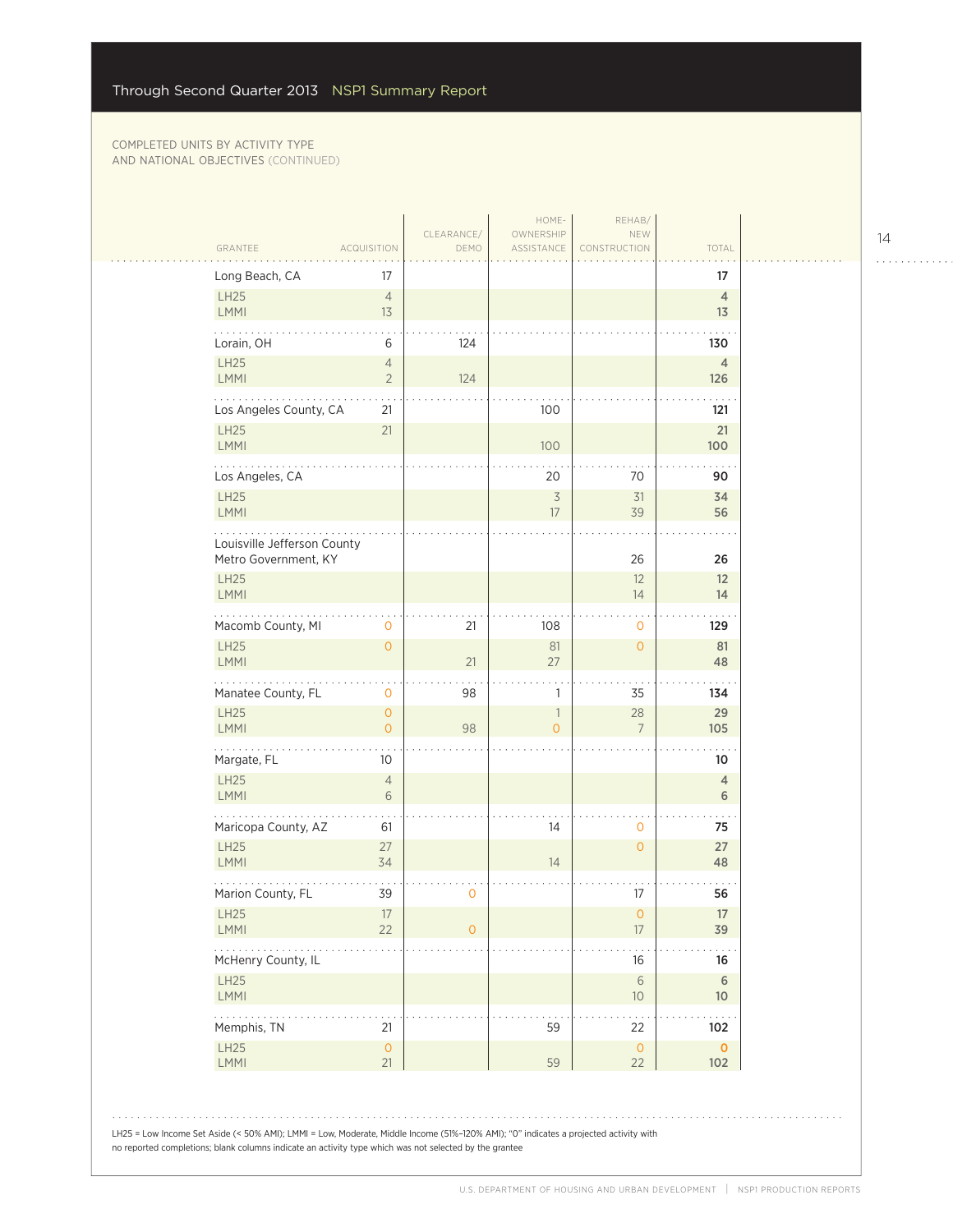| Long Beach, CA<br>17<br>17<br>LH25<br>$\overline{4}$<br>$\overline{4}$<br>LMMI<br>13<br>13<br>Lorain, OH<br>6<br>124<br>130<br>LH25<br>$\overline{4}$<br>$\overline{4}$<br>LMMI<br>$\overline{2}$<br>124<br>126<br>100<br>Los Angeles County, CA<br>121<br>21<br><b>LH25</b><br>21<br>21<br><b>LMMI</b><br>100<br>100<br>Los Angeles, CA<br>20<br>70<br>90<br>LH25<br>$\overline{3}$<br>31<br>34<br>LMMI<br>39<br>17<br>56<br>Louisville Jefferson County<br>Metro Government, KY<br>26<br>26<br><b>LH25</b><br>12<br>12<br>LMMI<br>14<br>14<br>Macomb County, MI<br>21<br>108<br>129<br>0<br>0<br><b>LH25</b><br>81<br>$\overline{O}$<br>81<br>$\overline{O}$<br>LMMI<br>21<br>27<br>48<br>Manatee County, FL<br>$\mathbf 0$<br>98<br>35<br>1<br>134<br><b>LH25</b><br>28<br>29<br>$\circ$<br>$\mathbf{1}$<br><b>LMMI</b><br>98<br>$\overline{O}$<br>0<br>$\overline{7}$<br>105<br>.<br>Margate, FL<br>10<br>10<br>LH25<br>$\overline{4}$<br>$\overline{4}$<br><b>LMMI</b><br>6<br>6<br>Maricopa County, AZ<br>14<br>61<br>0<br>75<br>LH25<br>27<br>27<br>$\overline{0}$<br>LMMI<br>34<br>14<br>48<br>Marion County, FL<br>0<br>17<br>39<br>56<br>LH25<br>17<br>0<br>17<br>22<br>17<br><b>LMMI</b><br>$\overline{0}$<br>39<br>$\sim$ $\sim$ $\sim$<br>McHenry County, IL<br>16<br>16<br>LH25<br>$\sqrt{6}$<br>$6\phantom{.}6$<br>LMMI<br>$10$<br>10 <sup>°</sup><br>59<br>Memphis, TN<br>21<br>22<br>102<br>LH25<br>$\mathsf{O}\xspace$<br>$\mathsf{O}$<br>$\mathbf{0}$<br><b>LMMI</b><br>21<br>59<br>22<br>102 | GRANTEE | <b>ACQUISITION</b> | CLEARANCE/<br>DEMO | HOME-<br>OWNERSHIP<br>ASSISTANCE | REHAB/<br>NEW<br>CONSTRUCTION | TOTAL |
|------------------------------------------------------------------------------------------------------------------------------------------------------------------------------------------------------------------------------------------------------------------------------------------------------------------------------------------------------------------------------------------------------------------------------------------------------------------------------------------------------------------------------------------------------------------------------------------------------------------------------------------------------------------------------------------------------------------------------------------------------------------------------------------------------------------------------------------------------------------------------------------------------------------------------------------------------------------------------------------------------------------------------------------------------------------------------------------------------------------------------------------------------------------------------------------------------------------------------------------------------------------------------------------------------------------------------------------------------------------------------------------------------------------------------------------------------------------------------------------------------------------|---------|--------------------|--------------------|----------------------------------|-------------------------------|-------|
|                                                                                                                                                                                                                                                                                                                                                                                                                                                                                                                                                                                                                                                                                                                                                                                                                                                                                                                                                                                                                                                                                                                                                                                                                                                                                                                                                                                                                                                                                                                  |         |                    |                    |                                  |                               |       |
|                                                                                                                                                                                                                                                                                                                                                                                                                                                                                                                                                                                                                                                                                                                                                                                                                                                                                                                                                                                                                                                                                                                                                                                                                                                                                                                                                                                                                                                                                                                  |         |                    |                    |                                  |                               |       |
|                                                                                                                                                                                                                                                                                                                                                                                                                                                                                                                                                                                                                                                                                                                                                                                                                                                                                                                                                                                                                                                                                                                                                                                                                                                                                                                                                                                                                                                                                                                  |         |                    |                    |                                  |                               |       |
|                                                                                                                                                                                                                                                                                                                                                                                                                                                                                                                                                                                                                                                                                                                                                                                                                                                                                                                                                                                                                                                                                                                                                                                                                                                                                                                                                                                                                                                                                                                  |         |                    |                    |                                  |                               |       |
|                                                                                                                                                                                                                                                                                                                                                                                                                                                                                                                                                                                                                                                                                                                                                                                                                                                                                                                                                                                                                                                                                                                                                                                                                                                                                                                                                                                                                                                                                                                  |         |                    |                    |                                  |                               |       |
|                                                                                                                                                                                                                                                                                                                                                                                                                                                                                                                                                                                                                                                                                                                                                                                                                                                                                                                                                                                                                                                                                                                                                                                                                                                                                                                                                                                                                                                                                                                  |         |                    |                    |                                  |                               |       |
|                                                                                                                                                                                                                                                                                                                                                                                                                                                                                                                                                                                                                                                                                                                                                                                                                                                                                                                                                                                                                                                                                                                                                                                                                                                                                                                                                                                                                                                                                                                  |         |                    |                    |                                  |                               |       |
|                                                                                                                                                                                                                                                                                                                                                                                                                                                                                                                                                                                                                                                                                                                                                                                                                                                                                                                                                                                                                                                                                                                                                                                                                                                                                                                                                                                                                                                                                                                  |         |                    |                    |                                  |                               |       |
|                                                                                                                                                                                                                                                                                                                                                                                                                                                                                                                                                                                                                                                                                                                                                                                                                                                                                                                                                                                                                                                                                                                                                                                                                                                                                                                                                                                                                                                                                                                  |         |                    |                    |                                  |                               |       |
|                                                                                                                                                                                                                                                                                                                                                                                                                                                                                                                                                                                                                                                                                                                                                                                                                                                                                                                                                                                                                                                                                                                                                                                                                                                                                                                                                                                                                                                                                                                  |         |                    |                    |                                  |                               |       |
|                                                                                                                                                                                                                                                                                                                                                                                                                                                                                                                                                                                                                                                                                                                                                                                                                                                                                                                                                                                                                                                                                                                                                                                                                                                                                                                                                                                                                                                                                                                  |         |                    |                    |                                  |                               |       |
|                                                                                                                                                                                                                                                                                                                                                                                                                                                                                                                                                                                                                                                                                                                                                                                                                                                                                                                                                                                                                                                                                                                                                                                                                                                                                                                                                                                                                                                                                                                  |         |                    |                    |                                  |                               |       |
|                                                                                                                                                                                                                                                                                                                                                                                                                                                                                                                                                                                                                                                                                                                                                                                                                                                                                                                                                                                                                                                                                                                                                                                                                                                                                                                                                                                                                                                                                                                  |         |                    |                    |                                  |                               |       |
|                                                                                                                                                                                                                                                                                                                                                                                                                                                                                                                                                                                                                                                                                                                                                                                                                                                                                                                                                                                                                                                                                                                                                                                                                                                                                                                                                                                                                                                                                                                  |         |                    |                    |                                  |                               |       |
|                                                                                                                                                                                                                                                                                                                                                                                                                                                                                                                                                                                                                                                                                                                                                                                                                                                                                                                                                                                                                                                                                                                                                                                                                                                                                                                                                                                                                                                                                                                  |         |                    |                    |                                  |                               |       |
|                                                                                                                                                                                                                                                                                                                                                                                                                                                                                                                                                                                                                                                                                                                                                                                                                                                                                                                                                                                                                                                                                                                                                                                                                                                                                                                                                                                                                                                                                                                  |         |                    |                    |                                  |                               |       |
|                                                                                                                                                                                                                                                                                                                                                                                                                                                                                                                                                                                                                                                                                                                                                                                                                                                                                                                                                                                                                                                                                                                                                                                                                                                                                                                                                                                                                                                                                                                  |         |                    |                    |                                  |                               |       |
|                                                                                                                                                                                                                                                                                                                                                                                                                                                                                                                                                                                                                                                                                                                                                                                                                                                                                                                                                                                                                                                                                                                                                                                                                                                                                                                                                                                                                                                                                                                  |         |                    |                    |                                  |                               |       |
|                                                                                                                                                                                                                                                                                                                                                                                                                                                                                                                                                                                                                                                                                                                                                                                                                                                                                                                                                                                                                                                                                                                                                                                                                                                                                                                                                                                                                                                                                                                  |         |                    |                    |                                  |                               |       |
|                                                                                                                                                                                                                                                                                                                                                                                                                                                                                                                                                                                                                                                                                                                                                                                                                                                                                                                                                                                                                                                                                                                                                                                                                                                                                                                                                                                                                                                                                                                  |         |                    |                    |                                  |                               |       |
|                                                                                                                                                                                                                                                                                                                                                                                                                                                                                                                                                                                                                                                                                                                                                                                                                                                                                                                                                                                                                                                                                                                                                                                                                                                                                                                                                                                                                                                                                                                  |         |                    |                    |                                  |                               |       |
|                                                                                                                                                                                                                                                                                                                                                                                                                                                                                                                                                                                                                                                                                                                                                                                                                                                                                                                                                                                                                                                                                                                                                                                                                                                                                                                                                                                                                                                                                                                  |         |                    |                    |                                  |                               |       |
|                                                                                                                                                                                                                                                                                                                                                                                                                                                                                                                                                                                                                                                                                                                                                                                                                                                                                                                                                                                                                                                                                                                                                                                                                                                                                                                                                                                                                                                                                                                  |         |                    |                    |                                  |                               |       |
|                                                                                                                                                                                                                                                                                                                                                                                                                                                                                                                                                                                                                                                                                                                                                                                                                                                                                                                                                                                                                                                                                                                                                                                                                                                                                                                                                                                                                                                                                                                  |         |                    |                    |                                  |                               |       |

14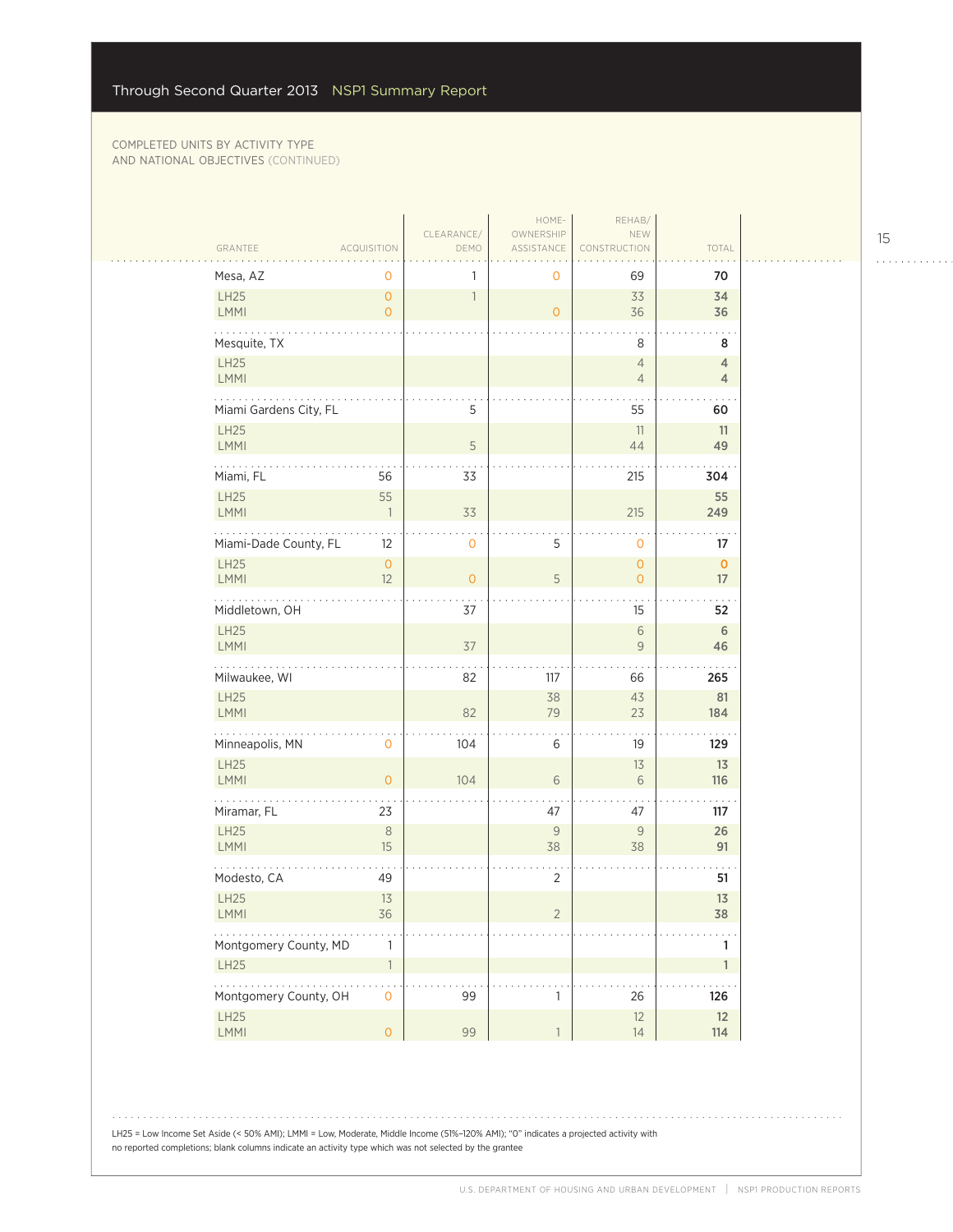|                                      |                                |                    | HOME-                   | REHAB/                         |                                  |
|--------------------------------------|--------------------------------|--------------------|-------------------------|--------------------------------|----------------------------------|
| GRANTEE                              | <b>ACQUISITION</b>             | CLEARANCE/<br>DEMO | OWNERSHIP<br>ASSISTANCE | NEW<br>CONSTRUCTION            | TOTAL                            |
| Mesa, AZ                             | 0                              | 1                  | 0                       | 69                             | 70                               |
| LH25                                 | $\mathsf{O}\xspace$            | $\overline{1}$     |                         | 33                             | 34                               |
| LMMI                                 | $\overline{0}$                 |                    | $\overline{0}$          | 36                             | 36                               |
| Mesquite, TX                         |                                |                    |                         | 8                              | 8                                |
| LH25<br>LMMI                         |                                |                    |                         | $\overline{4}$<br>$\sqrt{4}$   | $\overline{4}$<br>$\overline{4}$ |
| .<br>Miami Gardens City, FL          |                                | 5                  |                         | 55                             | 60                               |
| LH25                                 |                                |                    |                         | 11                             | 11                               |
| LMMI                                 |                                | 5                  |                         | 44                             | 49                               |
| Miami, FL                            | 56                             | 33                 |                         | 215                            | 304                              |
| LH25                                 | 55<br>$\overline{\phantom{a}}$ |                    |                         | 215                            | 55                               |
| LMMI                                 |                                | 33                 |                         |                                | 249                              |
| Miami-Dade County, FL                | 12                             | 0                  | 5                       | $\mathbf 0$                    | 17                               |
| LH25<br><b>LMMI</b>                  | $\mathsf{O}$<br>12             | $\overline{O}$     | 5                       | $\mathbf{O}$<br>$\overline{0}$ | $\mathbf 0$<br>17                |
| Middletown, OH                       |                                | 37                 |                         | 15                             | $\sim$<br>52                     |
| LH25                                 |                                |                    |                         | $\sqrt{6}$                     | 6                                |
| <b>LMMI</b>                          |                                | 37                 |                         | 9                              | 46                               |
| Milwaukee, WI                        |                                | 82                 | 117                     | 66                             | 265                              |
| LH25                                 |                                |                    | 38                      | 43                             | 81                               |
| <b>LMMI</b><br>.                     |                                | 82                 | 79                      | 23                             | 184                              |
| Minneapolis, MN                      | 0                              | 104                | 6                       | 19                             | 129                              |
| LH25<br>LMMI                         | $\overline{O}$                 | 104                | 6                       | 13<br>6                        | 13<br>116                        |
|                                      |                                |                    |                         |                                |                                  |
| Miramar, FL                          | 23                             |                    | 47                      | 47                             | 117                              |
| LH25<br>LMMI                         | $\,8\,$<br>15                  |                    | 9<br>38                 | 9<br>38                        | 26<br>91                         |
| Modesto, CA                          | 49                             |                    | $\overline{2}$          |                                | 51                               |
| LH25                                 | 13                             |                    |                         |                                | 13                               |
| <b>LMMI</b>                          | 36                             |                    | 2                       |                                | 38                               |
| Montgomery County, MD                | 1                              |                    |                         |                                | $\mathbf{1}$                     |
| LH25                                 | $\overline{1}$                 |                    |                         |                                | $\mathbf{1}$                     |
| 1.1.1.1.1.1<br>Montgomery County, OH | $\overline{0}$                 | 99                 | $\mathbf{1}$            | 26                             | 126                              |
| LH25<br>LMMI                         | $\mathsf{O}\xspace$            | 99                 | $\mathbb{1}$            | 12<br>14                       | 12<br>114                        |
|                                      |                                |                    |                         |                                |                                  |

15

. . . . . . . . . . . .

LH25 = Low Income Set Aside (< 50% AMI); LMMI = Low, Moderate, Middle Income (51%–120% AMI); "0" indicates a projected activity with no reported completions; blank columns indicate an activity type which was not selected by the grantee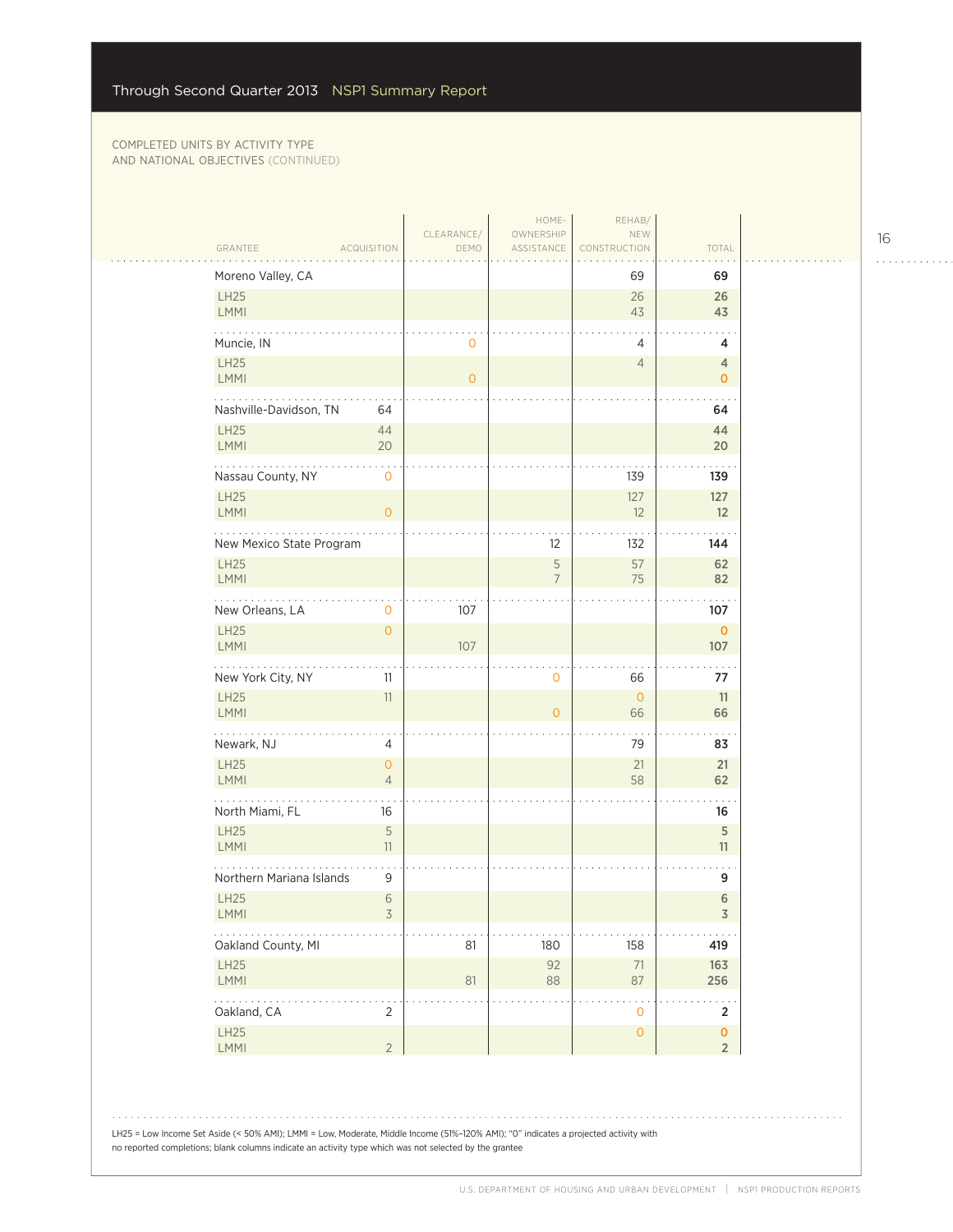$\mathcal{L}_{\mathcal{A}}$ 

| Moreno Valley, CA                       |                            |           | 69                                         | 69                                   |
|-----------------------------------------|----------------------------|-----------|--------------------------------------------|--------------------------------------|
| <b>LH25</b><br>LMMI                     |                            |           | 26<br>43                                   | 26<br>43                             |
| Muncie, IN                              | $\mathbf 0$                |           | 4                                          | 4                                    |
| LH25<br>LMMI                            | $\mathbf{O}$               |           | $\overline{4}$                             | 4<br>0                               |
| .<br>Nashville-Davidson, TN             | 64                         |           |                                            | 64                                   |
| LH25<br>LMMI                            | 44<br>20                   |           |                                            | 44<br>20                             |
| Nassau County, NY<br><b>LH25</b>        | $\mathbf 0$                |           | 139<br>127                                 | 139<br>127                           |
| LMMI                                    | $\overline{0}$             |           | 12                                         | 12                                   |
| New Mexico State Program<br><b>LH25</b> |                            | 12<br>5   | 132<br>57                                  | 144<br>62                            |
| LMMI                                    |                            | 7         | $75\,$                                     | 82                                   |
| New Orleans, LA<br><b>LH25</b>          | 107<br>0<br>$\overline{0}$ |           |                                            | 107<br>$\mathbf 0$                   |
| LMMI                                    | 107                        |           |                                            | 107                                  |
| New York City, NY<br><b>LH25</b>        | 11<br>11                   | 0         | 66<br>$\overline{0}$                       | 77<br>11                             |
| LMMI<br>.                               |                            | $\Omega$  | 66                                         | 66                                   |
| Newark, NJ<br>LH25                      | 4<br>$\overline{O}$        |           | 79<br>21                                   | 83<br>21                             |
| <b>LMMI</b>                             | $\overline{4}$             |           | 58                                         | 62                                   |
| North Miami, FL<br><b>LH25</b>          | 16<br>5                    |           |                                            | 16<br>$\sqrt{5}$                     |
| LMMI                                    | 11                         |           |                                            | 11                                   |
| Northern Mariana Islands<br><b>LH25</b> | 9<br>6                     |           |                                            | 9<br>6                               |
| <b>LMMI</b>                             | 3                          |           |                                            | 3                                    |
| Oakland County, MI<br>LH25              | 81                         | 180<br>92 | 158<br>71                                  | 419<br>163                           |
| LMMI<br>.                               | 81                         | $88\,$    | 87                                         | 256                                  |
| Oakland, CA<br>LH25                     | $\overline{2}$             |           | $\mathsf{O}\xspace$<br>$\mathsf{O}\xspace$ | $\overline{2}$<br>$\pmb{\mathsf{O}}$ |
| LMMI                                    | $\overline{2}$             |           |                                            | $\overline{2}$                       |

LH25 = Low Income Set Aside (< 50% AMI); LMMI = Low, Moderate, Middle Income (51%–120% AMI); "0" indicates a projected activity with no reported completions; blank columns indicate an activity type which was not selected by the grantee

16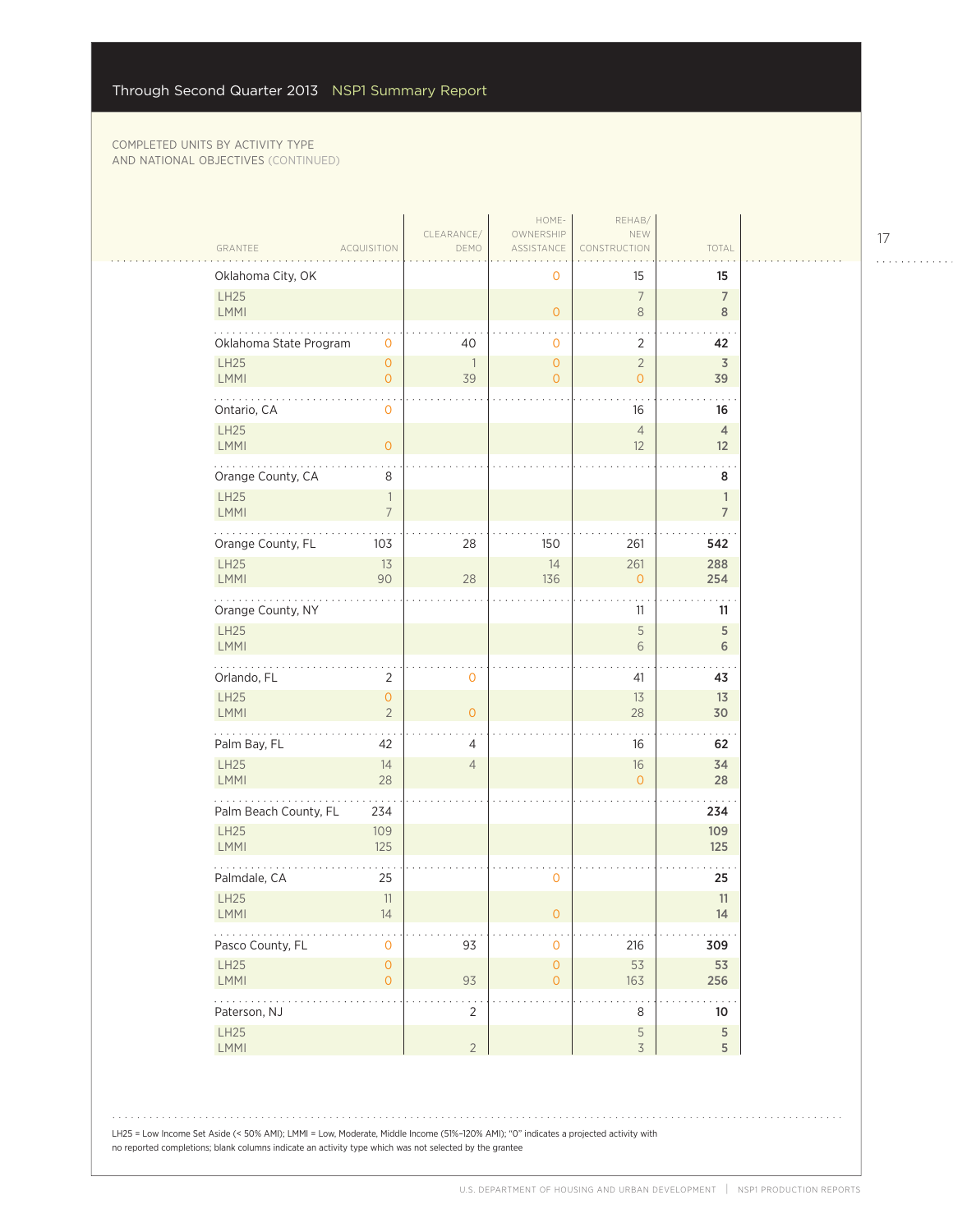|                                                                                |                                            |                                | HOME-                                 | REHAB/                           |                                |
|--------------------------------------------------------------------------------|--------------------------------------------|--------------------------------|---------------------------------------|----------------------------------|--------------------------------|
| GRANTEE                                                                        | <b>ACQUISITION</b>                         | CLEARANCE/<br>DEMO             | OWNERSHIP<br>ASSISTANCE               | NEW<br>CONSTRUCTION              | TOTAL                          |
| Oklahoma City, OK                                                              |                                            |                                | 0                                     | 15                               | 15                             |
| LH25<br>LMMI                                                                   |                                            |                                | $\overline{O}$                        | $\overline{7}$<br>$\,8\,$        | $\overline{7}$<br>$\mathbf{8}$ |
| Oklahoma State Program                                                         | $\mathbf 0$                                | 40                             | 0                                     | $\overline{2}$                   | 42                             |
| LH25<br><b>LMMI</b>                                                            | $\circ$<br>$\mathsf{O}\xspace$             | $\overline{\phantom{a}}$<br>39 | $\overline{O}$<br>$\overline{O}$      | $\overline{2}$<br>$\overline{O}$ | $\overline{3}$<br>39           |
| .<br>Ontario, CA                                                               | 0                                          |                                |                                       | 16                               | 16                             |
| LH25<br>LMMI                                                                   | $\overline{O}$                             |                                |                                       | $\overline{4}$<br>12             | $\overline{4}$<br>12           |
| Orange County, CA                                                              | 8                                          |                                |                                       |                                  | 8                              |
| <b>LH25</b><br>LMMI                                                            | $\overline{\phantom{a}}$<br>$\overline{7}$ |                                |                                       |                                  | $\mathbf{1}$<br>$\overline{7}$ |
| Orange County, FL                                                              | 103                                        | 28                             | 150                                   | 261                              | 542                            |
| LH25<br>LMMI                                                                   | 13<br>90                                   | 28                             | 14<br>136                             | 261<br>$\overline{O}$            | 288<br>254                     |
| $\mathbf{1}$ , $\mathbf{1}$ , $\mathbf{1}$ , $\mathbf{1}$<br>Orange County, NY |                                            |                                |                                       | 11                               | 11                             |
| LH25<br>LMMI                                                                   |                                            |                                |                                       | 5<br>$\sqrt{6}$                  | $\overline{5}$<br>6            |
| Orlando, FL                                                                    | 2                                          | $\mathbf 0$                    |                                       | 41                               | 43                             |
| LH25<br><b>LMMI</b>                                                            | $\circ$<br>$\overline{2}$                  | $\overline{O}$                 |                                       | 13<br>28                         | 13<br>30                       |
| .<br>Palm Bay, FL                                                              | 42                                         | 4                              |                                       | 16                               | 62                             |
| LH25<br>LMMI                                                                   | 14<br>28                                   | $\overline{4}$                 |                                       | $16\,$<br>$\overline{O}$         | 34<br>28                       |
| Palm Beach County, FL                                                          | 234                                        |                                |                                       |                                  | 234                            |
| LH25<br><b>LMMI</b>                                                            | 109<br>125                                 |                                |                                       |                                  | 109<br>125                     |
| Palmdale, CA                                                                   | 25                                         |                                | 0                                     |                                  | 25                             |
| LH25<br>LMMI                                                                   | 11<br>14                                   |                                | 0                                     |                                  | 11<br>14                       |
| Pasco County, FL                                                               | $\mathbf{O}$                               | 93                             | 0                                     | 216                              | 309                            |
| LH25<br>LMMI                                                                   | $\mathsf{O}\xspace$<br>$\circ$             | 93                             | $\mathsf{O}\xspace$<br>$\overline{O}$ | 53<br>163                        | 53<br>256                      |
| $\mathbb{Z}^2$ . The same<br>Paterson, NJ                                      |                                            | $\overline{2}$                 |                                       | 8                                | 10                             |
| LH25<br>LMMI                                                                   |                                            | $\overline{2}$                 |                                       | 5<br>$\overline{\mathcal{S}}$    | $\sqrt{5}$<br>5                |

LH25 = Low Income Set Aside (< 50% AMI); LMMI = Low, Moderate, Middle Income (51%–120% AMI); "0" indicates a projected activity with no reported completions; blank columns indicate an activity type which was not selected by the grantee

17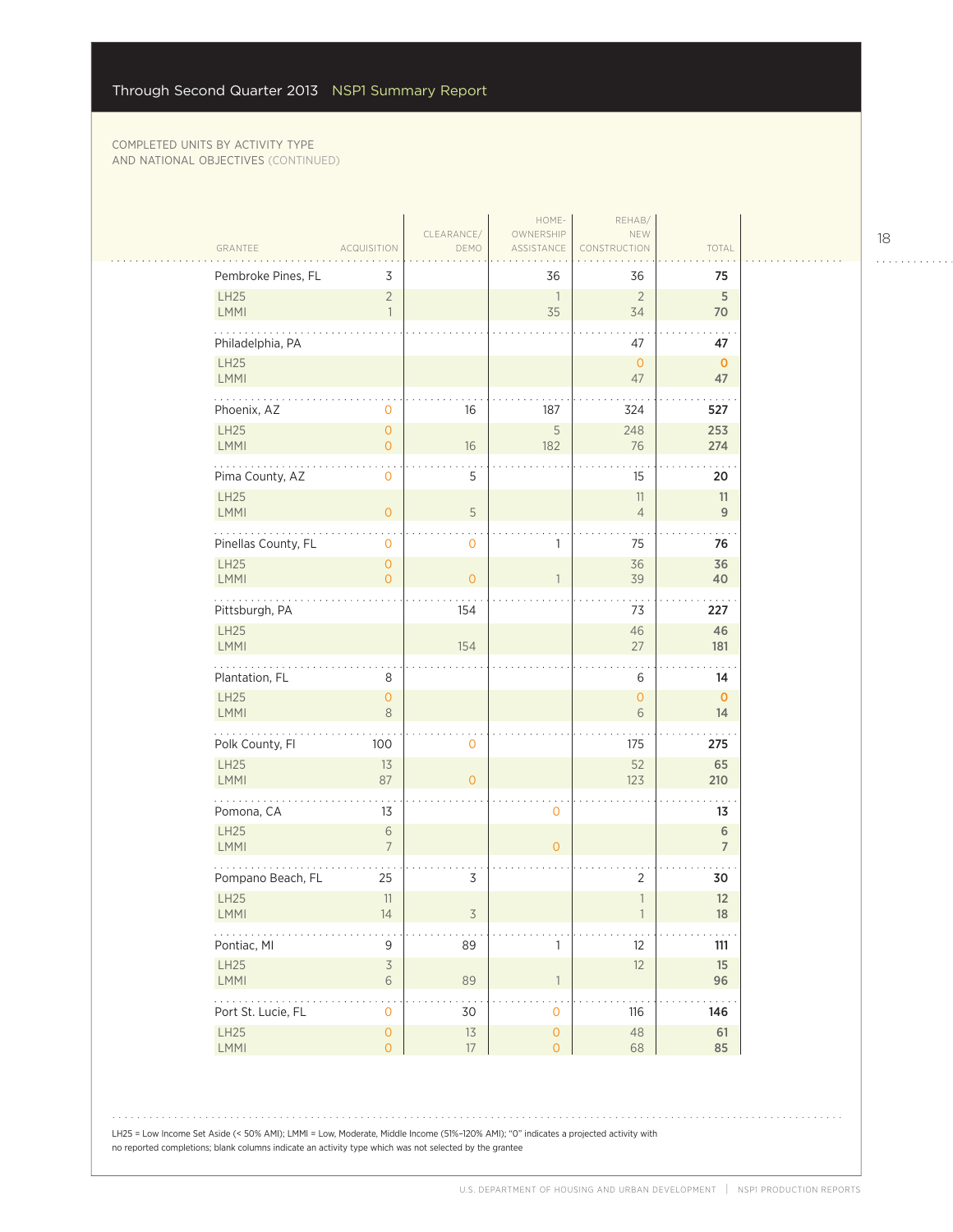$\sim$  . . .

| GRANTEE                                 | ACQUISITION                                | CLEARANCE/<br>DEMO       | HOME-<br>OWNERSHIP<br>ASSISTANCE | REHAB/<br>NEW<br>CONSTRUCTION  | TOTAL                    |
|-----------------------------------------|--------------------------------------------|--------------------------|----------------------------------|--------------------------------|--------------------------|
| Pembroke Pines, FL                      | 3                                          |                          | 36                               | 36                             | 75                       |
| <b>LH25</b><br><b>LMMI</b>              | $\overline{2}$<br>$\overline{1}$           |                          | $\overline{\phantom{a}}$<br>35   | $\overline{2}$<br>34           | 5<br>70                  |
| Philadelphia, PA<br>LH25<br>LMMI        |                                            |                          |                                  | 47<br>$\overline{0}$<br>47     | 47<br>$\mathbf{O}$<br>47 |
| Phoenix, AZ                             | 0                                          | 16                       | 187                              | 324                            | 527                      |
| LH25<br>LMMI                            | $\mathsf{O}\xspace$<br>$\mathsf{O}\xspace$ | 16                       | $\mathsf S$<br>182               | 248<br>76                      | 253<br>274               |
| Pima County, AZ                         | $\mathbf 0$                                | 5                        |                                  | 15                             | 20                       |
| LH25<br><b>LMMI</b>                     | $\overline{0}$                             | 5                        |                                  | 11<br>$\overline{4}$           | 11<br>$\overline{9}$     |
| .<br>Pinellas County, FL                | 0                                          | 0                        | 1                                | 75                             | 76                       |
| LH25<br><b>LMMI</b>                     | $\overline{0}$<br>$\overline{O}$           | $\circ$                  | $\mathbb{1}$                     | 36<br>39                       | 36<br>40                 |
| Pittsburgh, PA                          |                                            | 154                      |                                  | 73                             | 227                      |
| LH25<br>LMMI                            |                                            | 154                      |                                  | 46<br>27                       | 46<br>181                |
| Plantation, FL                          | 8                                          |                          |                                  | 6                              | 14                       |
| LH25<br>LMMI                            | $\mathsf{O}\xspace$<br>8                   |                          |                                  | $\overline{O}$<br>6            | $\mathbf{0}$<br>14       |
| .<br>Polk County, Fl                    | 100                                        | 0                        |                                  | 175                            | 275                      |
| LH25<br>LMMI                            | 13<br>87                                   | $\overline{0}$           |                                  | 52<br>123                      | 65<br>210                |
| Pomona, CA                              | 13                                         |                          | $\mathbf 0$                      |                                | 13                       |
| LH25<br><b>LMMI</b>                     | $\sqrt{6}$<br>$\overline{7}$               |                          | $\mathsf{O}\xspace$              |                                | 6<br>$\overline{7}$      |
| in the state and a<br>Pompano Beach, FL | 25                                         | 3                        |                                  | 2                              | 30                       |
| LH25<br>$\mathsf{LMMI}$                 | 11<br>14                                   | $\overline{\mathcal{S}}$ |                                  | $\mathbf{1}$<br>$\overline{1}$ | 12<br>$18\,$             |
| .<br>Pontiac, MI                        | 9                                          | 89                       | 1                                | 12                             | 111                      |
| <b>LH25</b><br>LMMI                     | $\overline{\mathcal{S}}$<br>$\,$ $\,$ $\,$ | 89                       | $\ensuremath{\mathsf{1}}$        | 12                             | $15\phantom{.0}$<br>96   |
| Port St. Lucie, FL                      | $\mathsf{O}\xspace$                        | 30                       | $\mathsf{O}\xspace$              | 116                            | .<br>146                 |
| LH25                                    | $\mathsf{O}\xspace$                        | $13$                     | $\mathsf{O}\xspace$              | 48                             | 61                       |
| LMMI                                    | $\mathsf{O}\xspace$                        | $17\,$                   | $\mathsf{O}\xspace$              | 68                             | 85                       |

LH25 = Low Income Set Aside (< 50% AMI); LMMI = Low, Moderate, Middle Income (51%–120% AMI); "0" indicates a projected activity with no reported completions; blank columns indicate an activity type which was not selected by the grantee

18

. . . . . . . . . . . .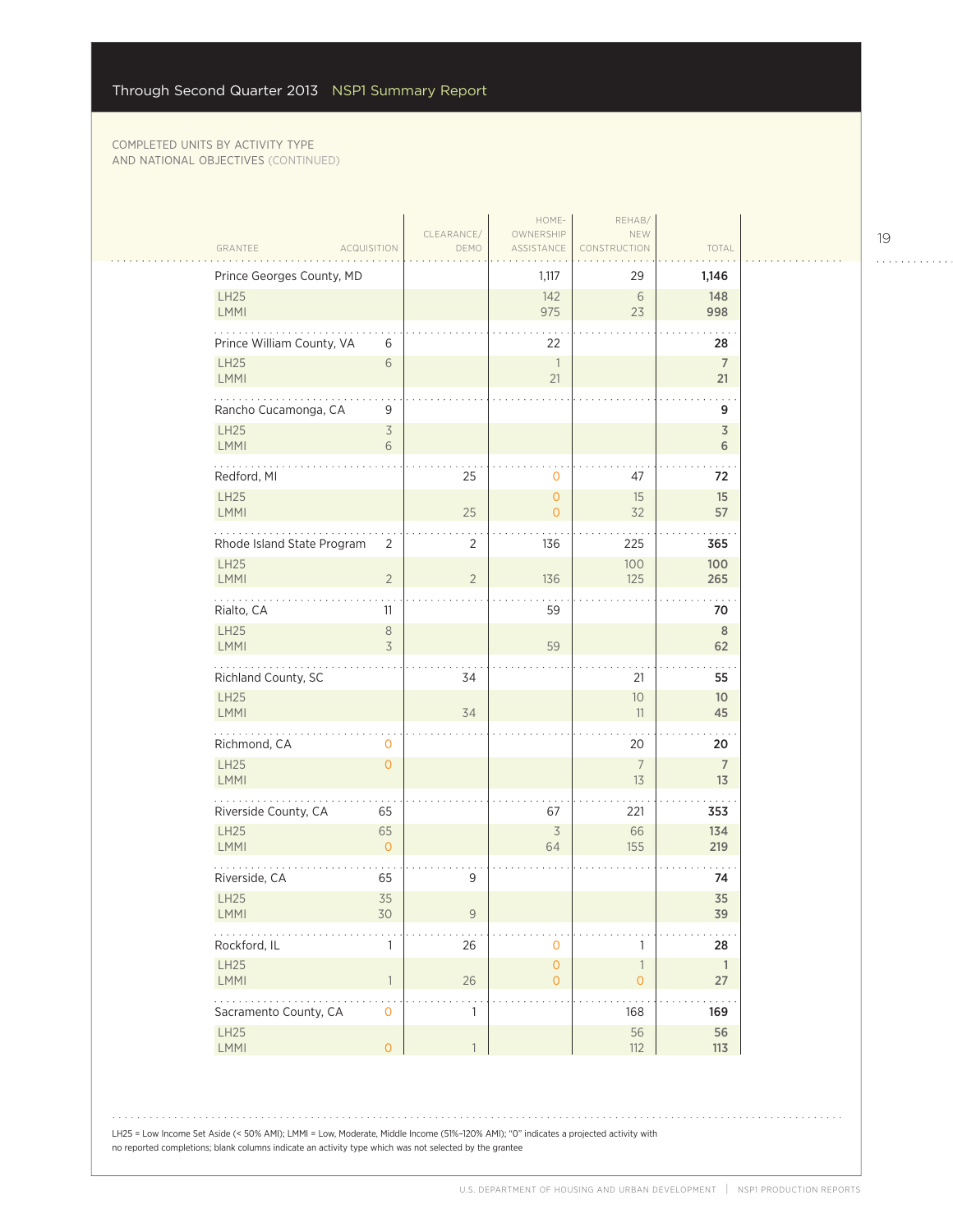| GRANTEE<br><b>ACQUISITION</b>                 | CLEARANCE/<br>DEMO | HOME-<br>OWNERSHIP<br>ASSISTANCE   | REHAB/<br>NEW<br>CONSTRUCTION                    | TOTAL                 |
|-----------------------------------------------|--------------------|------------------------------------|--------------------------------------------------|-----------------------|
| Prince Georges County, MD                     |                    | 1,117                              | 29                                               | 1,146                 |
| LH25<br><b>LMMI</b>                           |                    | 142<br>975                         | 6<br>23                                          | 148<br>998            |
| Prince William County, VA<br>6                |                    | 22                                 |                                                  | 28                    |
| LH25<br>$\sqrt{6}$<br><b>LMMI</b>             |                    | $\overline{1}$<br>21               |                                                  | $\overline{7}$<br>21  |
| Rancho Cucamonga, CA<br>9                     |                    |                                    |                                                  | 9                     |
| LH25<br>$\overline{\mathcal{S}}$<br>LMMI<br>6 |                    |                                    |                                                  | $\overline{3}$<br>6   |
| Redford, MI                                   | 25                 | $\mathbf 0$                        | 47                                               | 72                    |
| LH25<br><b>LMMI</b>                           | 25                 | $\mathbf{O}$<br>$\overline{O}$     | 15<br>32                                         | 15<br>57              |
| Rhode Island State Program<br>$\overline{2}$  | $\overline{2}$     | 136                                | 225                                              | 365                   |
| LH25<br><b>LMMI</b><br>$\overline{2}$         | $\overline{2}$     | 136                                | 100<br>125                                       | 100<br>265            |
| Rialto, CA<br>11                              |                    | 59                                 |                                                  | 70                    |
| LH25<br>$\,8\,$<br>$\overline{3}$<br>LMMI     |                    | 59                                 |                                                  | $8\phantom{1}$<br>62  |
| Richland County, SC                           | 34                 |                                    | 21                                               | 55                    |
| LH25<br><b>LMMI</b>                           | 34                 |                                    | 10<br>11                                         | 10 <sup>°</sup><br>45 |
| .<br>Richmond, CA<br>0                        |                    |                                    | 20                                               | 20                    |
| LH25<br>$\overline{O}$<br><b>LMMI</b>         |                    |                                    | $\overline{7}$<br>13                             | $7\overline{ }$<br>13 |
| Riverside County, CA<br>65                    |                    | 67                                 | 221                                              | 353                   |
| LH25<br>65<br><b>LMMI</b><br>$\overline{O}$   |                    | $\overline{\mathcal{S}}$<br>64     | 66<br>155                                        | 134<br>219            |
| Riverside, CA<br>65                           | 9                  |                                    |                                                  | 74                    |
| LH25<br>35<br><b>LMMI</b><br>30               | 9                  |                                    |                                                  | 35<br>39              |
| Rockford, IL<br>1                             | 26                 | $\mathbf{O}$                       | 1                                                | 28                    |
| LH25<br>LMMI<br>$\overline{1}$                | 26                 | $\mathsf{O}\xspace$<br>$\mathsf O$ | $\ensuremath{\mathsf{1}}$<br>$\mathsf{O}\xspace$ | $\overline{1}$<br>27  |
| Sacramento County, CA<br>$\mathsf{O}\xspace$  | 1                  |                                    | 168                                              | 169                   |
| LH25<br>LMMI<br>$\mathsf{O}\xspace$           | $\mathbf{1}$       |                                    | 56<br>112                                        | 56<br>113             |

LH25 = Low Income Set Aside (< 50% AMI); LMMI = Low, Moderate, Middle Income (51%–120% AMI); "0" indicates a projected activity with no reported completions; blank columns indicate an activity type which was not selected by the grantee

19

. . . . . . . . . . . .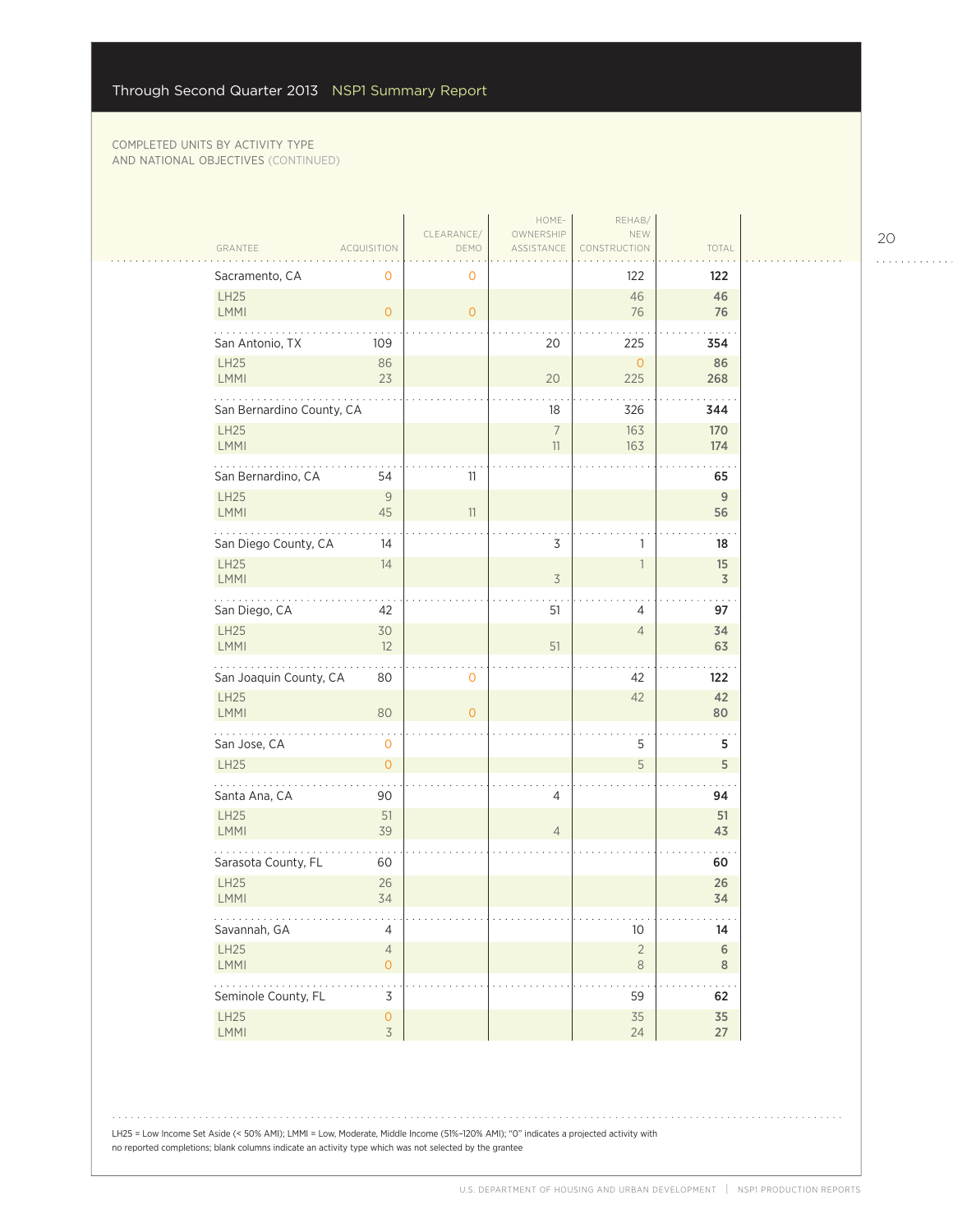| GRANTEE                        | <b>ACQUISITION</b>                    | CLEARANCE/<br>DEMO  | HOME-<br>OWNERSHIP<br>ASSISTANCE | REHAB/<br>NEW<br>CONSTRUCTION | TOTAL                      |
|--------------------------------|---------------------------------------|---------------------|----------------------------------|-------------------------------|----------------------------|
|                                |                                       |                     |                                  |                               |                            |
| Sacramento, CA<br>LH25<br>LMMI | $\mathbf 0$<br>$\circ$                | 0<br>$\overline{O}$ |                                  | 122<br>46<br>76               | 122<br>46<br>76            |
| San Antonio, TX                | 109                                   |                     | 20                               | 225                           | 354                        |
| LH25<br>LMMI                   | 86<br>23                              |                     | 20                               | $\circ$<br>225                | 86<br>268                  |
| San Bernardino County, CA      |                                       |                     | 18                               | 326                           | 344                        |
| LH25<br>LMMI                   |                                       |                     | $\overline{7}$<br>11             | 163<br>163                    | 170<br>174                 |
| San Bernardino, CA             | 54                                    | 11                  |                                  |                               | 65                         |
| LH25<br>LMMI                   | 9<br>45                               | 11                  |                                  |                               | 9<br>56                    |
| San Diego County, CA           | 14                                    |                     | 3                                | 1                             | 18                         |
| <b>LH25</b><br>LMMI            | 14                                    |                     | $\overline{\mathcal{S}}$         | $\mathbb{1}$                  | 15<br>$\overline{3}$       |
| San Diego, CA                  | 42                                    |                     | 51                               | 4                             | 97                         |
| <b>LH25</b><br><b>LMMI</b>     | 30<br>12                              |                     | 51                               | $\overline{4}$                | 34<br>63                   |
| San Joaquin County, CA         | 80                                    | 0                   |                                  | 42                            | 122                        |
| <b>LH25</b><br>LMMI            | 80                                    | $\Omega$            |                                  | 42                            | 42<br>80                   |
| San Jose, CA                   | $\mathbf 0$                           |                     |                                  | 5                             | 5                          |
| LH25                           | $\overline{O}$                        |                     |                                  | 5                             | 5                          |
| Santa Ana, CA                  | 90                                    |                     | 4                                |                               | 94                         |
| LH25<br>LMMI                   | 51<br>39                              |                     | $\overline{4}$                   |                               | 51<br>43                   |
| Sarasota County, FL            | 60                                    |                     |                                  |                               | 60                         |
| <b>LH25</b><br>LMMI            | 26<br>34                              |                     |                                  |                               | 26<br>34                   |
| .<br>Savannah, GA              | $\overline{4}$                        |                     |                                  | 10                            | $\sim$ $\sim$ $\sim$<br>14 |
| LH25<br>LMMI                   | $\overline{4}$<br>$\overline{O}$      |                     |                                  | $\overline{2}$<br>$\,8\,$     | $\,$ 6 $\,$<br>8           |
| .<br>Seminole County, FL       | 3                                     |                     |                                  | $\ddotsc$<br>59               | 62                         |
| LH25<br>LMMI                   | $\mathsf{O}\xspace$<br>$\overline{3}$ |                     |                                  | 35<br>24                      | 35<br>27                   |

LH25 = Low Income Set Aside (< 50% AMI); LMMI = Low, Moderate, Middle Income (51%–120% AMI); "0" indicates a projected activity with no reported completions; blank columns indicate an activity type which was not selected by the grantee

20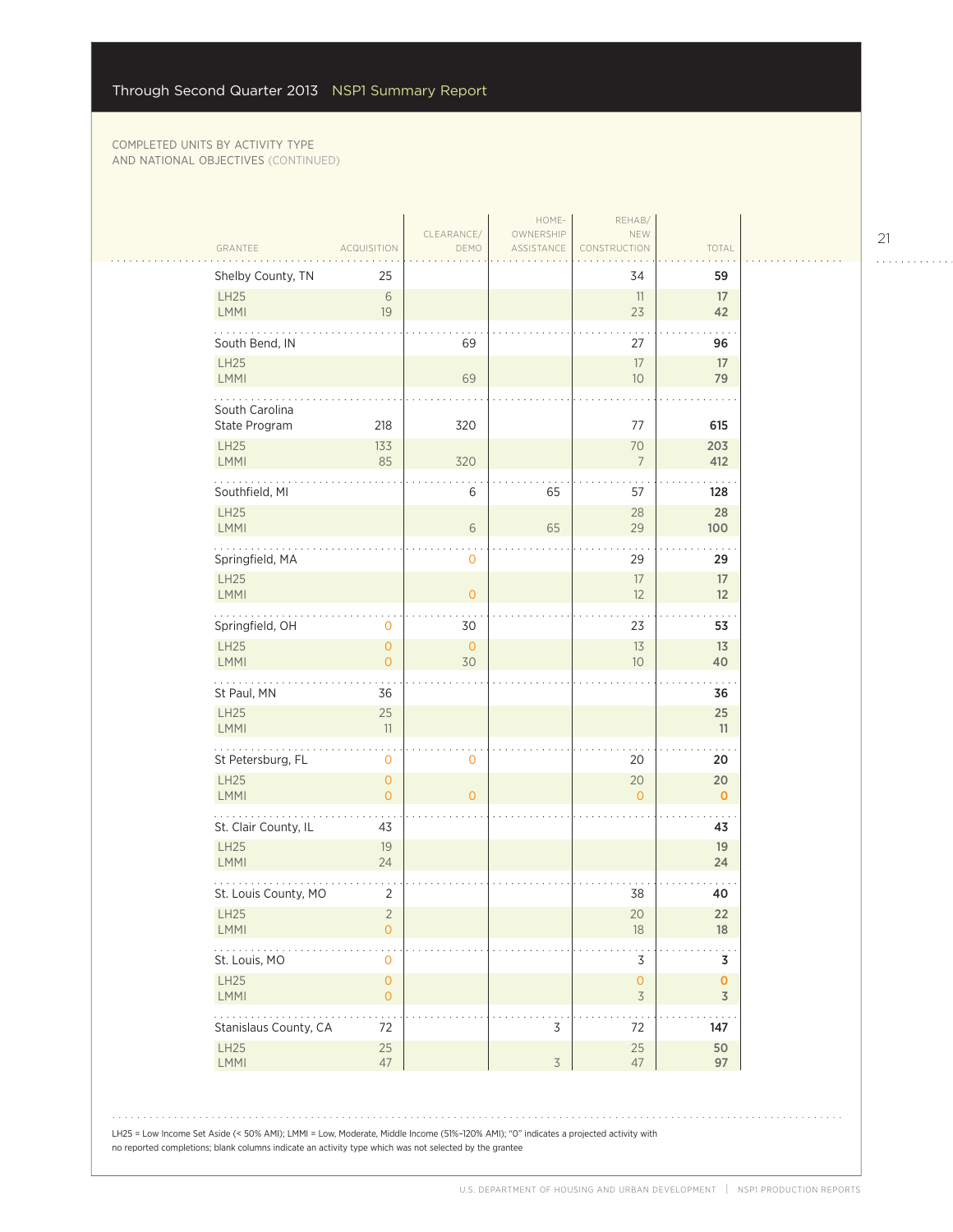| GRANTEE                                      | <b>ACQUISITION</b>                    | CLEARANCE/<br>DEMO | OWNERSHIP<br>ASSISTANCE | NEW<br>CONSTRUCTION                   | TOTAL                         |
|----------------------------------------------|---------------------------------------|--------------------|-------------------------|---------------------------------------|-------------------------------|
| Shelby County, TN                            | 25                                    |                    |                         | 34                                    | 59                            |
| LH25<br>LMMI                                 | $\sqrt{6}$<br>19                      |                    |                         | 11<br>23                              | 17<br>42                      |
| South Bend, IN                               |                                       | 69                 |                         | 27                                    | 96                            |
| LH25                                         |                                       |                    |                         | 17                                    | 17                            |
| <b>LMMI</b>                                  |                                       | 69                 |                         | 10 <sup>°</sup>                       | 79                            |
| South Carolina<br>State Program              | 218                                   | 320                |                         | 77                                    | 615                           |
| LH25                                         | 133                                   |                    |                         | 70                                    | 203                           |
| LMMI                                         | 85                                    | 320                |                         | $7\overline{ }$                       | 412                           |
| Southfield, MI                               |                                       | 6                  | 65                      | 57                                    | 128                           |
| LH25<br><b>LMMI</b>                          |                                       | 6                  | 65                      | 28<br>29                              | 28<br>100                     |
| Springfield, MA                              |                                       | 0                  |                         | 29                                    | 29                            |
| LH25                                         |                                       |                    |                         | 17                                    | 17                            |
| LMMI                                         |                                       | $\overline{O}$     |                         | 12                                    | 12                            |
| Springfield, OH                              | 0                                     | 30                 |                         | 23                                    | 53                            |
| LH25<br><b>LMMI</b>                          | $\overline{O}$<br>$\overline{0}$      | $\circ$<br>30      |                         | 13<br>10 <sup>°</sup>                 | 13<br>40                      |
| St Paul, MN                                  | 36                                    |                    |                         |                                       | 36                            |
| LH25<br>LMMI                                 | 25<br>11                              |                    |                         |                                       | 25<br>11                      |
| .                                            |                                       |                    |                         |                                       |                               |
| St Petersburg, FL                            | 0                                     | 0                  |                         | 20                                    | 20                            |
| LH25<br>LMMI                                 | $\mathsf{O}\xspace$<br>$\overline{O}$ | $\overline{0}$     |                         | 20<br>$\Omega$                        | 20<br>$\mathbf 0$             |
| St. Clair County, IL                         | 43                                    |                    |                         |                                       | 43                            |
| LH25<br><b>LMMI</b>                          | 19<br>24                              |                    |                         |                                       | 19<br>24                      |
| St. Louis County, MO                         | $\overline{2}$                        |                    |                         | 38                                    | 40                            |
| <b>LH25</b>                                  | 2                                     |                    |                         | 20                                    | 22                            |
| <b>LMMI</b>                                  | $\mathsf{O}\xspace$                   |                    |                         | 18                                    | 18                            |
| $\sim$ $\sim$ $\sim$ $\sim$<br>St. Louis, MO | 0                                     |                    |                         | 3                                     | 3                             |
| LH25<br><b>LMMI</b>                          | 0<br>$\mathsf{O}\xspace$              |                    |                         | $\mathsf{O}\xspace$<br>$\overline{3}$ | $\mathbf 0$<br>$\overline{3}$ |
| Stanislaus County, CA                        | 72                                    |                    | 3                       | 72                                    | 147                           |
| LH25<br>LMMI                                 | 25<br>47                              |                    | $\overline{3}$          | 25<br>47                              | 50<br>97                      |
|                                              |                                       |                    |                         |                                       |                               |

21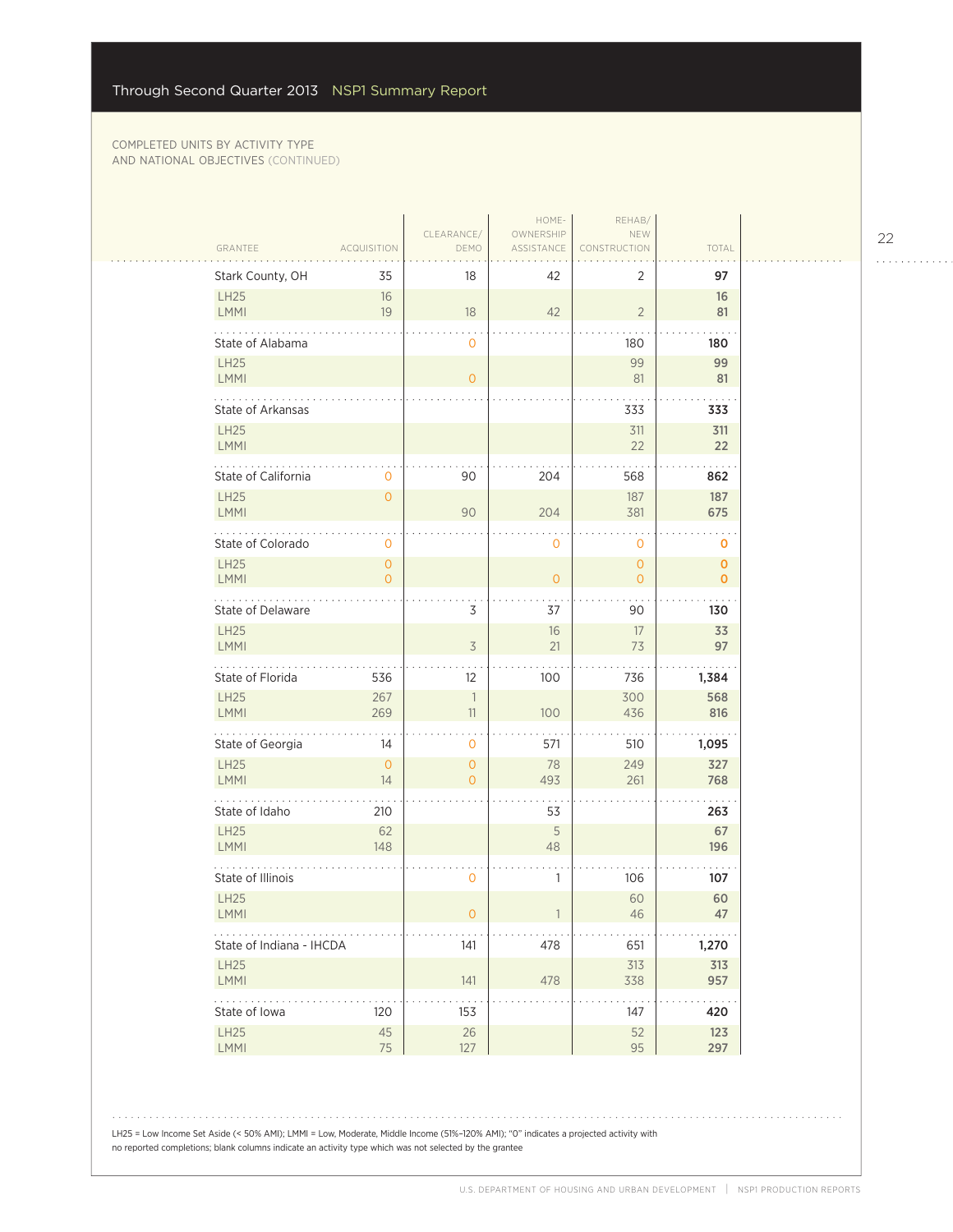| GRANTEE                    | <b>ACQUISITION</b>               | CLEARANCE/<br>DEMO               | HOME-<br>OWNERSHIP<br>ASSISTANCE | REHAB/<br>NEW<br>CONSTRUCTION | TOTAL                       |  |
|----------------------------|----------------------------------|----------------------------------|----------------------------------|-------------------------------|-----------------------------|--|
| Stark County, OH           | 35                               | 18                               | 42                               | 2                             | 97                          |  |
| <b>LH25</b><br><b>LMMI</b> | 16<br>19                         | 18                               | 42                               | $\overline{2}$                | 16<br>81                    |  |
| State of Alabama           |                                  | 0                                |                                  | 180                           | 180                         |  |
| <b>LH25</b><br>LMMI        |                                  | $\overline{O}$                   |                                  | 99<br>81                      | 99<br>81                    |  |
| State of Arkansas          |                                  |                                  |                                  | 333                           | 333                         |  |
| <b>LH25</b><br>LMMI        |                                  |                                  |                                  | 311<br>22                     | 311<br>22                   |  |
| State of California        | 0                                | 90                               | 204                              | 568                           | 862                         |  |
| <b>LH25</b><br>LMMI        | $\overline{0}$                   | 90                               | 204                              | 187<br>381                    | 187<br>675                  |  |
| State of Colorado          | 0                                |                                  | 0                                | 0                             | 0                           |  |
| <b>LH25</b><br>LMMI        | $\overline{0}$<br>$\overline{0}$ |                                  | $\overline{O}$                   | $\mathbf{0}$<br>0             | 0<br>$\mathbf 0$            |  |
| .<br>State of Delaware     |                                  | 3                                | 37                               | 90                            | 130                         |  |
| <b>LH25</b><br><b>LMMI</b> |                                  | $\overline{\mathcal{S}}$         | 16<br>21                         | 17<br>73                      | 33<br>97                    |  |
| State of Florida           | 536                              | 12                               | 100                              | 736                           | 1,384                       |  |
| <b>LH25</b><br>LMMI        | 267<br>269                       | $\overline{\phantom{a}}$<br>11   | 100                              | 300<br>436                    | 568<br>816                  |  |
| .<br>State of Georgia      | 14                               | 0                                | 571                              | 510                           | 1,095                       |  |
| <b>LH25</b><br><b>LMMI</b> | $\overline{0}$<br>14             | $\overline{O}$<br>$\overline{O}$ | 78<br>493                        | 249<br>261                    | 327<br>768                  |  |
| State of Idaho             | 210                              |                                  | 53                               |                               | 263                         |  |
| <b>LH25</b><br>LMMI        | 62<br>148                        |                                  | 5<br>48                          |                               | 67<br>196                   |  |
| State of Illinois          |                                  | 0                                | 1                                | 106                           | 107                         |  |
| <b>LH25</b><br><b>LMMI</b> |                                  | 0                                |                                  | 60<br>46                      | 60<br>47                    |  |
| State of Indiana - IHCDA   |                                  | 141                              | 478                              | 651                           | 1,270                       |  |
| <b>LH25</b><br><b>LMMI</b> |                                  | 141                              | 478                              | 313<br>338                    | 313<br>957                  |  |
| .<br>State of Iowa         | 120                              | 153                              |                                  | 147                           | $\sim$ $\sim$ $\sim$<br>420 |  |
| LH25<br>LMMI               | 45<br>75                         | $26\,$<br>127                    |                                  | 52<br>95                      | 123<br>297                  |  |

22

. . . . . . . . . . . .

. . . . . . . . . . . . .

LH25 = Low Income Set Aside (< 50% AMI); LMMI = Low, Moderate, Middle Income (51%–120% AMI); "0" indicates a projected activity with no reported completions; blank columns indicate an activity type which was not selected by the grantee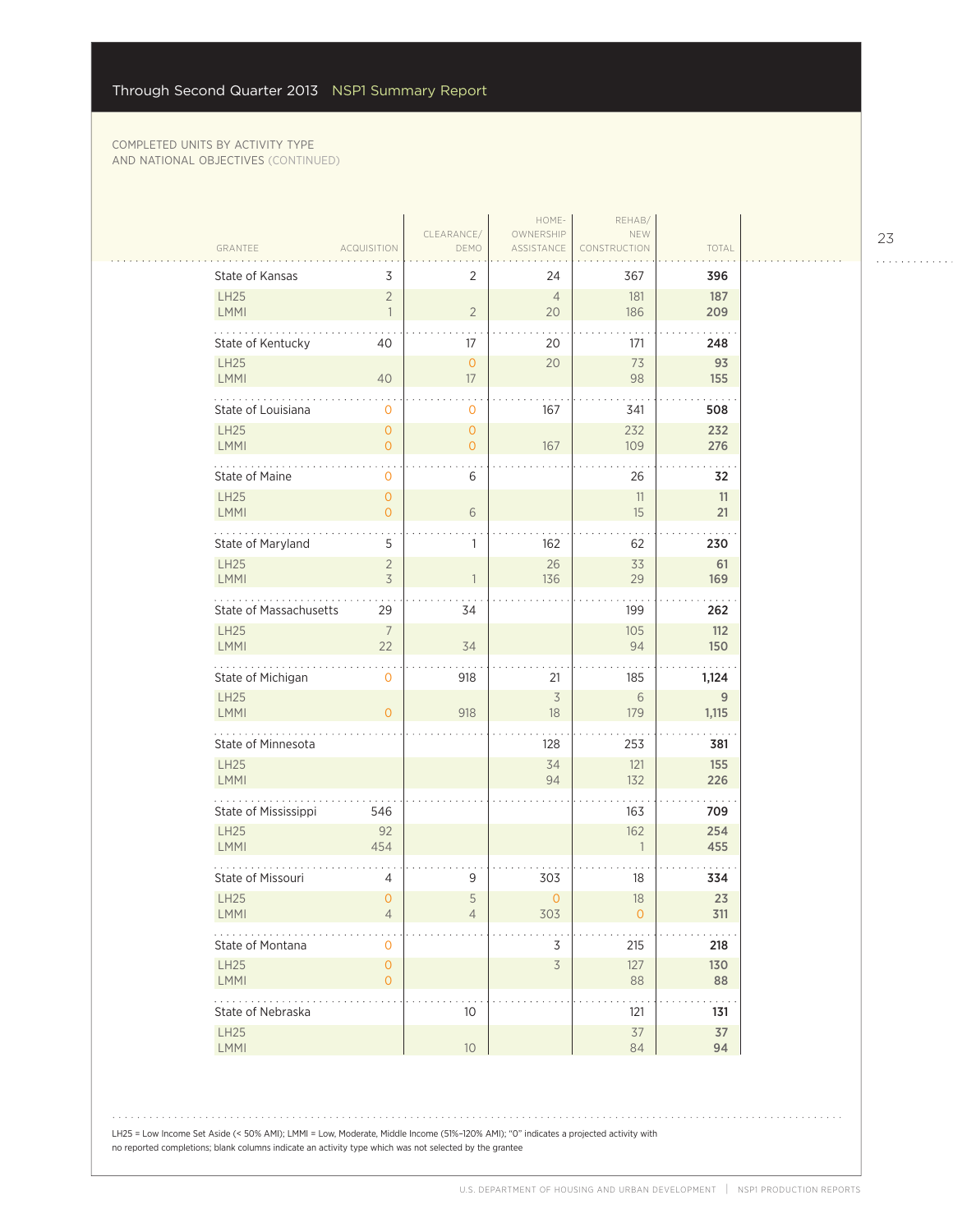|                            |                                            |                           | HOME-                   | REHAB/              |                      |
|----------------------------|--------------------------------------------|---------------------------|-------------------------|---------------------|----------------------|
| GRANTEE                    | <b>ACQUISITION</b>                         | CLEARANCE/<br>DEMO        | OWNERSHIP<br>ASSISTANCE | NEW<br>CONSTRUCTION | TOTAL                |
| State of Kansas            | 3                                          | $\overline{2}$            | 24                      | 367                 | 396                  |
| LH25<br><b>LMMI</b>        | $\overline{2}$<br>$\overline{1}$           | $\overline{2}$            | $\overline{4}$<br>20    | 181<br>186          | 187<br>209           |
| State of Kentucky          | 40                                         | 17                        | 20                      | 171                 | 248                  |
| LH25<br><b>LMMI</b>        | 40                                         | $\overline{O}$<br>17      | 20                      | 73<br>98            | 93<br>155            |
| State of Louisiana         | 0                                          | $\mathbf 0$               | 167                     | 341                 | 508                  |
| LH25<br>LMMI               | $\mathsf{O}\xspace$<br>$\overline{O}$      | $\circ$<br>$\overline{0}$ | 167                     | 232<br>109          | 232<br>276           |
| State of Maine             | 0                                          | 6                         |                         | 26                  | 32                   |
| <b>LH25</b><br><b>LMMI</b> | $\mathsf{O}\xspace$<br>$\overline{O}$      | 6                         |                         | 11<br>15            | 11<br>21             |
| State of Maryland          | 5                                          | 1                         | 162                     | 62                  | 230                  |
| LH25<br><b>LMMI</b>        | $\overline{2}$<br>$\overline{\mathcal{S}}$ |                           | 26<br>136               | 33<br>29            | 61<br>169            |
| State of Massachusetts     | 29                                         | 34                        |                         | 199                 | 262                  |
| <b>LH25</b><br><b>LMMI</b> | $\overline{7}$<br>22                       | 34                        |                         | 105<br>94           | $112$<br>150         |
| State of Michigan          | $\mathbf 0$                                | 918                       | 21                      | 185                 | 1,124                |
| <b>LH25</b><br><b>LMMI</b> | $\overline{O}$                             | 918                       | 3<br>18                 | 6<br>179            | 9<br>1,115           |
| .<br>State of Minnesota    |                                            |                           | 128                     | 253                 | 381                  |
| LH25<br><b>LMMI</b>        |                                            |                           | 34<br>94                | 121<br>132          | 155<br>226           |
| State of Mississippi       | 546                                        |                           |                         | 163                 | 709                  |
| LH25<br><b>LMMI</b>        | 92<br>454                                  |                           |                         | 162<br>$\mathbf{1}$ | 254<br>455           |
| State of Missouri          | $\overline{4}$                             | 9                         | 303                     | 18                  | 334                  |
| <b>LH25</b><br><b>LMMI</b> | $\overline{0}$<br>4                        | 5<br>4                    | $\mathbf{O}$<br>303     | 18<br>0             | 23<br>311            |
| State of Montana           | 0                                          |                           | 3                       | 215                 | 218                  |
| LH25<br><b>LMMI</b>        | $\mathsf{O}\xspace$<br>$\circ$             |                           | $\overline{3}$          | 127<br>88           | 130<br>88            |
| State of Nebraska          |                                            | 10                        |                         | 121                 | $\sim$ $\sim$<br>131 |
| LH25<br>LMMI               |                                            | 10                        |                         | 37<br>84            | 37<br>94             |

LH25 = Low Income Set Aside (< 50% AMI); LMMI = Low, Moderate, Middle Income (51%–120% AMI); "0" indicates a projected activity with no reported completions; blank columns indicate an activity type which was not selected by the grantee

23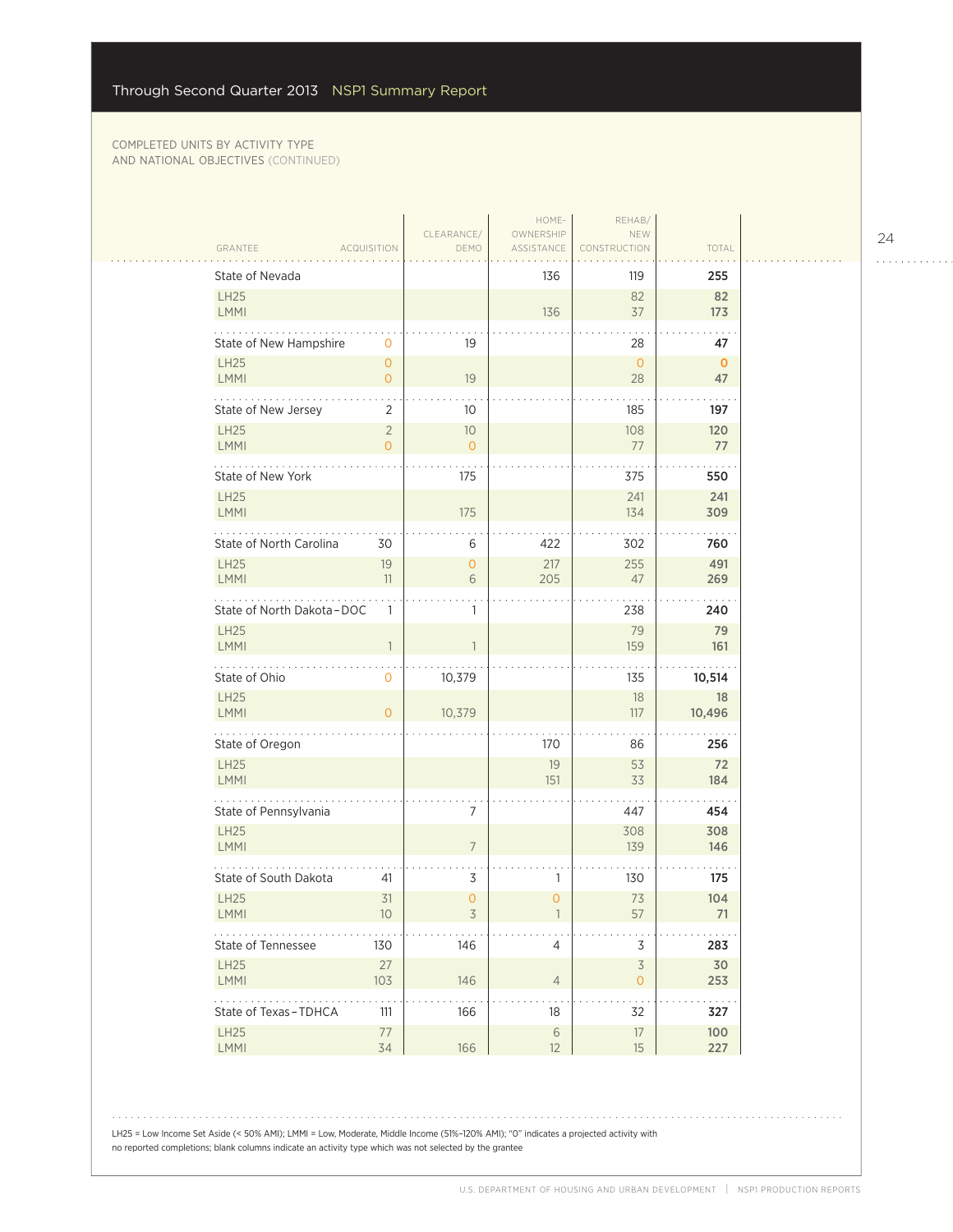|                                                     |                                  |                      | HOME-                   | REHAB/                    |                    |
|-----------------------------------------------------|----------------------------------|----------------------|-------------------------|---------------------------|--------------------|
| GRANTEE                                             | <b>ACQUISITION</b>               | CLEARANCE/<br>DEMO   | OWNERSHIP<br>ASSISTANCE | NEW<br>CONSTRUCTION       | TOTAL              |
| State of Nevada                                     |                                  |                      | 136                     | 119                       | 255                |
| <b>LH25</b><br>LMMI                                 |                                  |                      | 136                     | 82<br>37                  | 82<br>173          |
| State of New Hampshire                              | 0                                | 19                   |                         | 28                        | 47                 |
| LH25<br>LMMI                                        | $\overline{O}$<br>$\overline{0}$ | 19                   |                         | $\overline{0}$<br>28      | $\mathbf{0}$<br>47 |
| State of New Jersey                                 | 2                                | 10                   |                         | 185                       | 197                |
| <b>LH25</b><br><b>LMMI</b>                          | $\overline{2}$<br>$\overline{0}$ | 10<br>$\overline{0}$ |                         | 108<br>77                 | 120<br>77          |
| State of New York                                   |                                  | 175                  |                         | 375                       | 550                |
| <b>LH25</b><br>LMMI                                 |                                  | 175                  |                         | 241<br>134                | 241<br>309         |
| State of North Carolina                             | 30                               | 6                    | 422                     | 302                       | 760                |
| <b>LH25</b><br><b>LMMI</b>                          | 19<br>11                         | $\mathbf{O}$<br>6    | 217<br>205              | 255<br>47                 | 491<br>269         |
| State of North Dakota-DOC                           | 1                                | 1                    |                         | 238                       | 240                |
| <b>LH25</b><br><b>LMMI</b>                          |                                  |                      |                         | 79<br>159                 | 79<br>161          |
| State of Ohio                                       | 0                                | 10,379               |                         | 135                       | 10,514             |
| <b>LH25</b><br>LMMI                                 | $\overline{O}$                   | 10,379               |                         | 18<br>117                 | 18<br>10,496       |
| .<br>State of Oregon                                |                                  |                      | 170                     | 86                        | 256                |
| LH25<br><b>LMMI</b>                                 |                                  |                      | 19<br>151               | 53<br>33                  | 72<br>184          |
| State of Pennsylvania                               |                                  | 7                    |                         | 447                       | 454                |
| <b>LH25</b><br>LMMI                                 |                                  | $\overline{7}$       |                         | 308<br>139                | 308<br>146         |
| State of South Dakota                               | 41                               | 3                    | 1                       | 130                       | 175                |
| <b>LH25</b><br><b>LMMI</b>                          | 31<br>10 <sup>°</sup>            | $\mathbf{0}$<br>3    | $\mathbf 0$             | 73<br>57                  | 104<br>71          |
| State of Tennessee                                  | 130                              | 146                  | 4                       | $\mathsf 3$               | 283                |
| <b>LH25</b><br>LMMI                                 | 27<br>103                        | 146                  | $\overline{4}$          | $\overline{3}$<br>$\circ$ | 30<br>253          |
| $\sim$ $\sim$ $\sim$ $\sim$<br>State of Texas-TDHCA | 111                              | 166                  | 18                      | 32                        | 327                |
| LH25<br>LMMI                                        | $77$<br>34                       | 166                  | $\,$ $\,$ $\,$<br>12    | $17\,$<br>15              | 100<br>227         |

LH25 = Low Income Set Aside (< 50% AMI); LMMI = Low, Moderate, Middle Income (51%–120% AMI); "0" indicates a projected activity with no reported completions; blank columns indicate an activity type which was not selected by the grantee

24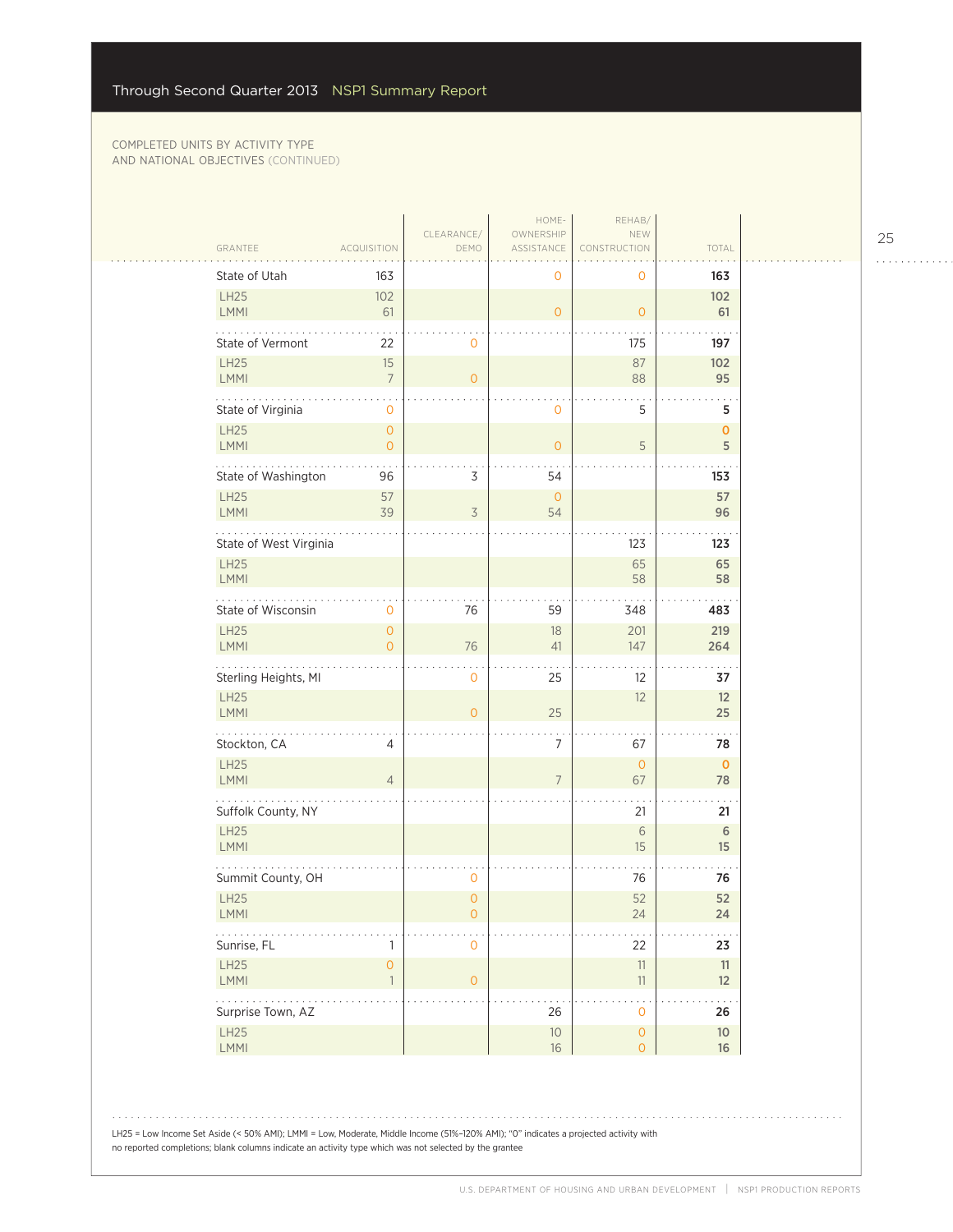| GRANTEE                    | <b>ACQUISITION</b>                    | CLEARANCE/<br>DEMO        | HOME-<br>OWNERSHIP<br>ASSISTANCE | REHAB/<br>NEW<br>NSTRUCTION<br>COI | TOTAL             |  |
|----------------------------|---------------------------------------|---------------------------|----------------------------------|------------------------------------|-------------------|--|
| State of Utah              | 163                                   |                           | 0                                | 0                                  | 163               |  |
| <b>LH25</b><br><b>LMMI</b> | 102<br>61                             |                           | $\overline{0}$                   | $\mathbf{O}$                       | 102<br>61         |  |
| State of Vermont           | 22                                    | 0                         |                                  | 175                                | 197               |  |
| <b>LH25</b><br><b>LMMI</b> | 15<br>$\overline{7}$                  | $\overline{O}$            |                                  | 87<br>88                           | 102<br>95         |  |
| State of Virginia          | 0                                     |                           | 0                                | 5                                  | 5                 |  |
| <b>LH25</b><br>LMMI        | $\mathbf{O}$<br>0                     |                           | $\mathsf{O}\xspace$              | $\mathsf S$                        | $\mathbf 0$<br>5  |  |
| State of Washington        | 96                                    | 3                         | 54                               |                                    | 153               |  |
| <b>LH25</b><br><b>LMMI</b> | 57<br>39                              | 3                         | $\mathsf O$<br>54                |                                    | 57<br>96          |  |
| State of West Virginia     |                                       |                           |                                  | 123                                | 123               |  |
| <b>LH25</b><br>LMMI        |                                       |                           |                                  | 65<br>58                           | 65<br>58          |  |
| State of Wisconsin         | 0                                     | 76                        | 59                               | 348                                | 483               |  |
| <b>LH25</b><br><b>LMMI</b> | $\overline{O}$<br>$\Omega$            | 76                        | 18<br>41                         | 201<br>147                         | 219<br>264        |  |
| Sterling Heights, MI       |                                       | 0                         | 25                               | 12                                 | 37                |  |
| <b>LH25</b><br><b>LMMI</b> |                                       | $\overline{O}$            | 25                               | 12                                 | 12<br>25          |  |
| Stockton, CA               | 4                                     |                           | $\overline{7}$                   | 67                                 | 78                |  |
| <b>LH25</b><br>LMMI        | $\overline{4}$                        |                           | $\overline{7}$                   | $\circ$<br>67                      | $\mathbf 0$<br>78 |  |
| Suffolk County, NY         |                                       |                           |                                  | 21                                 | 21                |  |
| <b>LH25</b><br>LMMI        |                                       |                           |                                  | $6\,$<br>15                        | $\,$ 6 $\,$<br>15 |  |
| Summit County, OH          |                                       | 0                         |                                  | 76                                 | 76                |  |
| <b>LH25</b><br>LMMI        |                                       | $\overline{0}$<br>$\circ$ |                                  | 52<br>24                           | 52<br>24          |  |
| .<br>Sunrise, FL           | 1                                     | 0                         |                                  | 22                                 | 23                |  |
| LH25<br>LMMI               | $\mathsf{O}\xspace$<br>$\overline{1}$ | $\overline{O}$            |                                  | 11<br>11                           | 11<br>12          |  |
| .<br>Surprise Town, AZ     |                                       |                           | 26                               | .<br>$\mathbf{O}$                  | 26                |  |
| LH25                       |                                       |                           | $10$                             | $\overline{O}$                     | $10$              |  |
| LMMI                       |                                       |                           | $16\,$                           | $\circ$                            | 16                |  |
|                            |                                       |                           |                                  |                                    |                   |  |

25

. . . . . . . . . . . .

 $1.1.1.1.1.1.1$ 

LH25 = Low Income Set Aside (< 50% AMI); LMMI = Low, Moderate, Middle Income (51%–120% AMI); "0" indicates a projected activity with no reported completions; blank columns indicate an activity type which was not selected by the grantee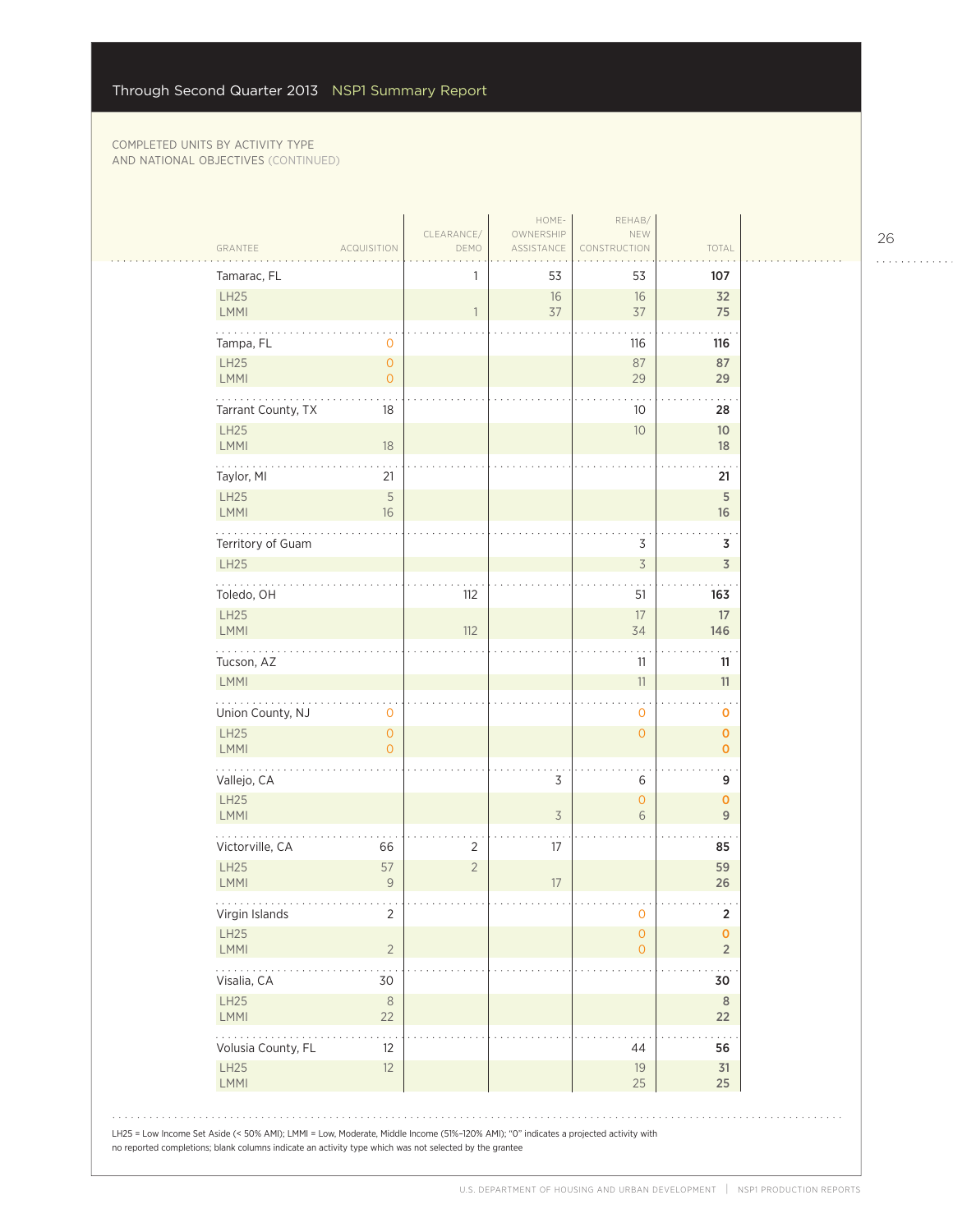| Tamarac, FL                                              |                                       | 1              | 53             | 53                             | 107                                |
|----------------------------------------------------------|---------------------------------------|----------------|----------------|--------------------------------|------------------------------------|
| LH25                                                     |                                       |                | 16             | 16                             | 32                                 |
| LMMI                                                     |                                       | $\mathbf{1}$   | 37             | 37                             | 75                                 |
| Tampa, FL                                                | 0                                     |                |                | 116                            | 116                                |
| LH25                                                     | $\circ$                               |                |                | 87                             | 87                                 |
| <b>LMMI</b><br>.                                         | $\circ$                               |                |                | 29                             | 29                                 |
| Tarrant County, TX                                       | 18                                    |                |                | 10                             | 28                                 |
| <b>LH25</b><br>LMMI                                      | 18                                    |                |                | $10$                           | 10<br>18                           |
| Taylor, MI                                               | 21                                    |                |                |                                | 21                                 |
| LH25<br>LMMI                                             | 5<br>16                               |                |                |                                | $\mathsf S$<br>16                  |
| Territory of Guam                                        |                                       |                |                | 3                              | 3                                  |
| <b>LH25</b>                                              |                                       |                |                | $\overline{\mathcal{S}}$       | $\overline{\mathsf{3}}$            |
| .<br>Toledo, OH                                          |                                       | 112            |                | 51                             | 163                                |
| <b>LH25</b><br>LMMI                                      |                                       | 112            |                | 17<br>34                       | $17\,$<br>146                      |
| Tucson, AZ                                               |                                       |                |                | 11                             | 11                                 |
| <b>LMMI</b>                                              |                                       |                |                | 11                             | 11                                 |
| Union County, NJ                                         | $\mathsf{O}\xspace$                   |                |                | $\mathbf 0$                    | 0                                  |
| LH25<br><b>LMMI</b>                                      | $\mathsf{O}\xspace$<br>$\overline{O}$ |                |                | $\mathsf{O}\xspace$            | $\pmb{\mathsf{O}}$<br>$\mathbf{O}$ |
| <b><i><u>A</u></i></b> <i>A A A A A A</i><br>Vallejo, CA |                                       |                | 3              | 6                              | 9                                  |
| LH25<br><b>LMMI</b>                                      |                                       |                | $\overline{3}$ | $\mathsf{O}\xspace$<br>6       | $\mathbf{O}$<br>$\overline{9}$     |
| Victorville, CA                                          | 66                                    | $\overline{2}$ | 17             |                                | 85                                 |
| <b>LH25</b><br><b>LMMI</b>                               | 57<br>9                               | $\overline{2}$ | 17             |                                | 59<br>26                           |
| Virgin Islands                                           | 2                                     |                |                | 0                              | 2                                  |
| LH25<br><b>LMMI</b>                                      | $\overline{2}$                        |                |                | $\mathsf{O}\xspace$<br>$\circ$ | $\mathbf 0$<br>$\overline{2}$      |
| Visalia, CA                                              | 30                                    |                |                |                                | 30                                 |
| LH25<br>LMMI                                             | $\,8\,$<br>22                         |                |                |                                | 8<br>22                            |
| Volusia County, FL                                       | 12                                    |                |                | 44                             | 56                                 |
| <b>LH25</b><br>LMMI                                      | 12                                    |                |                | 19<br>25                       | 31<br>25                           |

26

. . . . . . . . . . . .

 $\ldots$  .

 $\hat{\phi}$  .